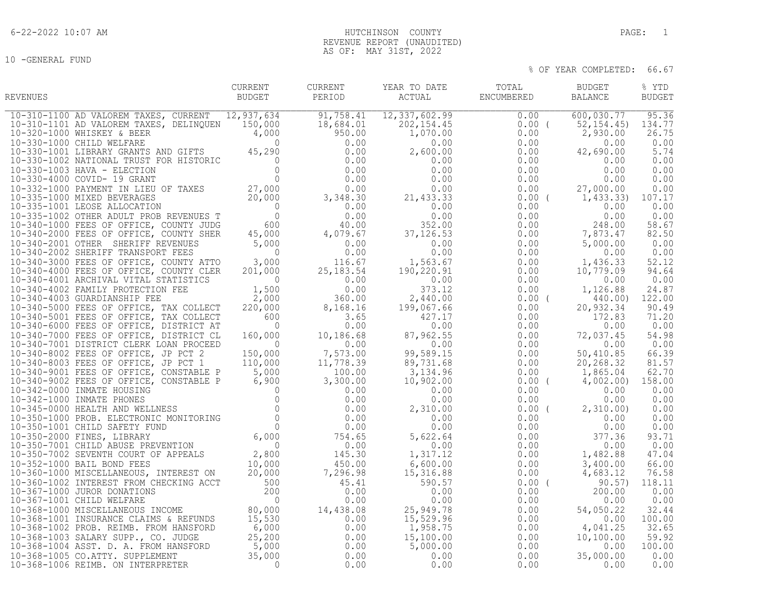10 -GENERAL FUND

# 6-22-2022 10:07 AM HUTCHINSON COUNTY PAGE: 1 REVENUE REPORT (UNAUDITED) AS OF: MAY 31ST, 2022

| REVENUES | CURRENT<br>BUDGET | PERIOD | CURRENT YEAR TO DATE | TOTAL BUDGET<br>ACTUAL ENCUMBERED | BALANCE | % YTD<br><b>BUDGET</b> |
|----------|-------------------|--------|----------------------|-----------------------------------|---------|------------------------|
|          |                   |        |                      |                                   |         |                        |
|          |                   |        |                      |                                   |         |                        |
|          |                   |        |                      |                                   |         |                        |
|          |                   |        |                      |                                   |         |                        |
|          |                   |        |                      |                                   |         |                        |
|          |                   |        |                      |                                   |         |                        |
|          |                   |        |                      |                                   |         |                        |
|          |                   |        |                      |                                   |         |                        |
|          |                   |        |                      |                                   |         |                        |
|          |                   |        |                      |                                   |         |                        |
|          |                   |        |                      |                                   |         |                        |
|          |                   |        |                      |                                   |         |                        |
|          |                   |        |                      |                                   |         |                        |
|          |                   |        |                      |                                   |         |                        |
|          |                   |        |                      |                                   |         |                        |
|          |                   |        |                      |                                   |         |                        |
|          |                   |        |                      |                                   |         |                        |
|          |                   |        |                      |                                   |         |                        |
|          |                   |        |                      |                                   |         |                        |
|          |                   |        |                      |                                   |         |                        |
|          |                   |        |                      |                                   |         |                        |
|          |                   |        |                      |                                   |         |                        |
|          |                   |        |                      |                                   |         |                        |
|          |                   |        |                      |                                   |         |                        |
|          |                   |        |                      |                                   |         |                        |
|          |                   |        |                      |                                   |         |                        |
|          |                   |        |                      |                                   |         |                        |
|          |                   |        |                      |                                   |         |                        |
|          |                   |        |                      |                                   |         |                        |
|          |                   |        |                      |                                   |         |                        |
|          |                   |        |                      |                                   |         |                        |
|          |                   |        |                      |                                   |         |                        |
|          |                   |        |                      |                                   |         |                        |
|          |                   |        |                      |                                   |         |                        |
|          |                   |        |                      |                                   |         |                        |
|          |                   |        |                      |                                   |         |                        |
|          |                   |        |                      |                                   |         |                        |
|          |                   |        |                      |                                   |         |                        |
|          |                   |        |                      |                                   |         |                        |
|          |                   |        |                      |                                   |         |                        |
|          |                   |        |                      |                                   |         |                        |
|          |                   |        |                      |                                   |         |                        |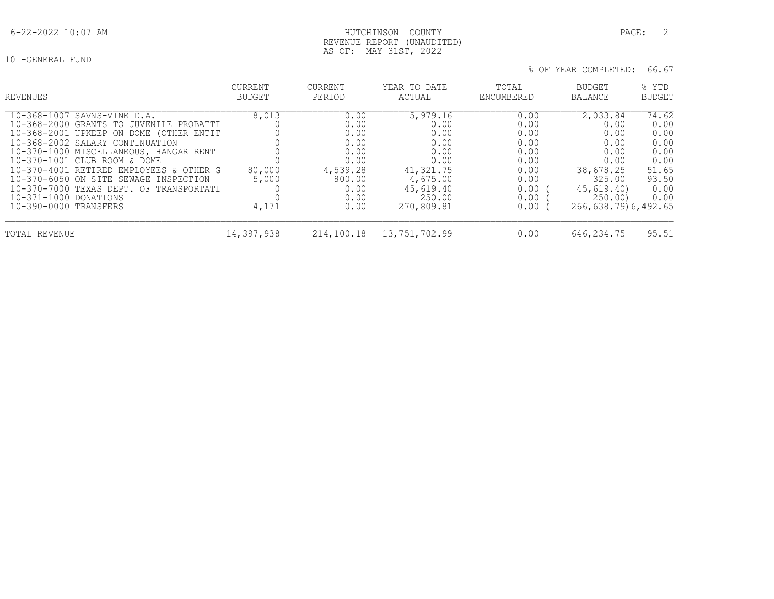# 6-22-2022 10:07 AM HUTCHINSON COUNTY PAGE: 2 REVENUE REPORT (UNAUDITED) AS OF: MAY 31ST, 2022

| REVENUES                                                                                                                                                                                                                                                                                                                                                                                                        | <b>CURRENT</b><br>BUDGET          | <b>CURRENT</b><br>PERIOD                                                                   | YEAR TO DATE<br>ACTUAL                                                                                         | TOTAL<br>ENCUMBERED                                                                      | BUDGET<br>BALANCE                                                                                                     | % YTD<br><b>BUDGET</b>                                                          |
|-----------------------------------------------------------------------------------------------------------------------------------------------------------------------------------------------------------------------------------------------------------------------------------------------------------------------------------------------------------------------------------------------------------------|-----------------------------------|--------------------------------------------------------------------------------------------|----------------------------------------------------------------------------------------------------------------|------------------------------------------------------------------------------------------|-----------------------------------------------------------------------------------------------------------------------|---------------------------------------------------------------------------------|
| 10-368-1007 SAVNS-VINE D.A.<br>10-368-2000 GRANTS TO JUVENILE PROBATTI<br>10-368-2001 UPKEEP ON DOME (OTHER ENTIT<br>10-368-2002 SALARY CONTINUATION<br>10-370-1000 MISCELLANEOUS, HANGAR RENT<br>10-370-1001 CLUB ROOM & DOME<br>10-370-4001 RETIRED EMPLOYEES & OTHER G<br>10-370-6050 ON SITE SEWAGE INSPECTION<br>10-370-7000 TEXAS DEPT. OF TRANSPORTATI<br>10-371-1000 DONATIONS<br>10-390-0000 TRANSFERS | 8,013<br>80,000<br>5,000<br>4,171 | 0.00<br>0.00<br>0.00<br>0.00<br>0.00<br>0.00<br>4,539.28<br>800.00<br>0.00<br>0.00<br>0.00 | 5,979.16<br>0.00<br>0.00<br>0.00<br>0.00<br>0.00<br>41,321.75<br>4,675.00<br>45,619.40<br>250.00<br>270,809.81 | 0.00<br>0.00<br>0.00<br>0.00<br>0.00<br>0.00<br>0.00<br>0.00<br>0.00<br>0.00<br>$0.00$ ( | 2,033.84<br>0.00<br>0.00<br>0.00<br>0.00<br>0.00<br>38,678.25<br>325.00<br>45,619.40<br>250.00<br>266,638.79)6,492.65 | 74.62<br>0.00<br>0.00<br>0.00<br>0.00<br>0.00<br>51.65<br>93.50<br>0.00<br>0.00 |
| TOTAL REVENUE                                                                                                                                                                                                                                                                                                                                                                                                   | 14,397,938                        | 214,100.18                                                                                 | 13,751,702.99                                                                                                  | 0.00                                                                                     | 646,234.75                                                                                                            | 95.51                                                                           |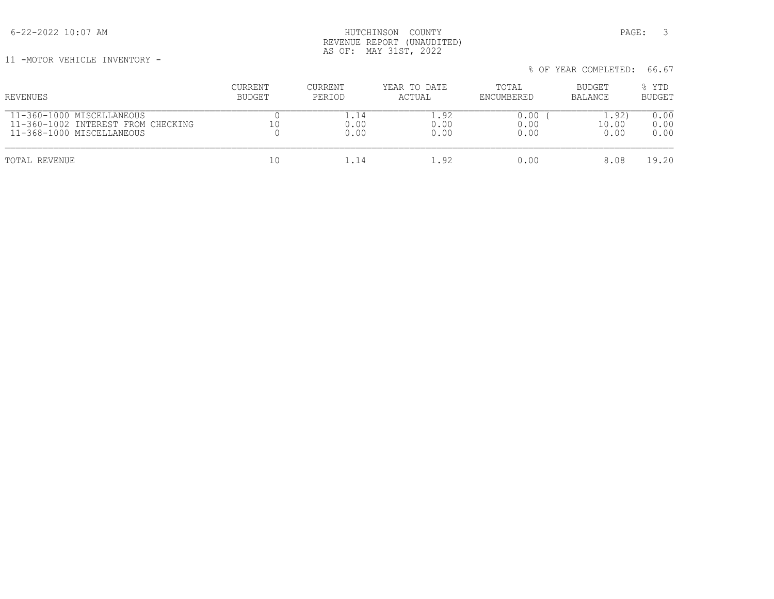6-22-2022 10:07 AM HUTCHINSON COUNTY PAGE: 3 REVENUE REPORT (UNAUDITED) AS OF: MAY 31ST, 2022

11 -MOTOR VEHICLE INVENTORY -

| II TMOIOR VEHICTE IMVEMIORI T      |         |         |              |            | % OF YEAR COMPLETED: | 66.67         |
|------------------------------------|---------|---------|--------------|------------|----------------------|---------------|
| REVENUES                           | CURRENT | CURRENT | YEAR TO DATE | TOTAL      | BUDGET               | % YTD         |
|                                    | BUDGET  | PERIOD  | ACTUAL       | ENCUMBERED | BALANCE              | <b>BUDGET</b> |
| 11-360-1000 MISCELLANEOUS          |         | 1.14    | 1.92         | 0.00       | 1.92)                | 0.00          |
| 11-360-1002 INTEREST FROM CHECKING |         | 0.00    | 0.00         | 0.00       | 10.00                | 0.00          |
| 11-368-1000 MISCELLANEOUS          |         | 0.00    | 0.00         | 0.00       | 0.00                 | 0.00          |
| TOTAL REVENUE                      | 10      | 1.14    | 1.92         | 0.00       | 8.08                 | 19.20         |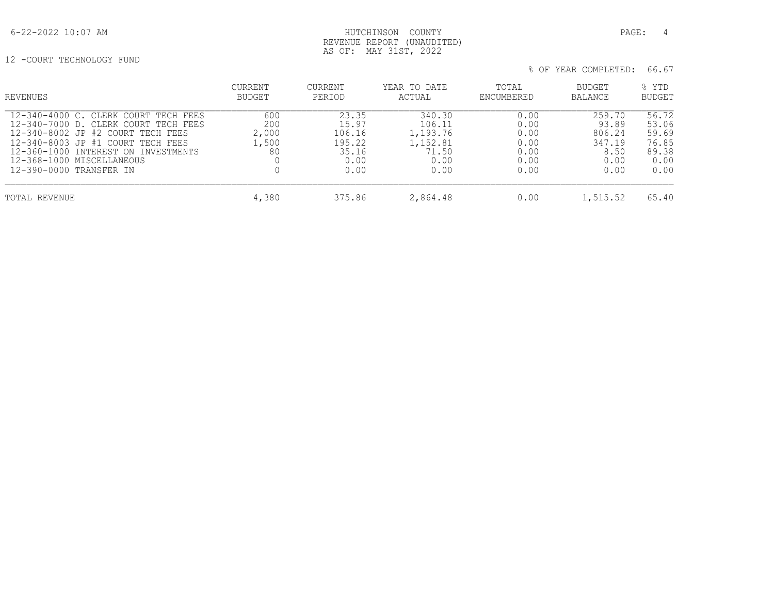# 6-22-2022 10:07 AM HUTCHINSON COUNTY PAGE: 4 REVENUE REPORT (UNAUDITED) AS OF: MAY 31ST, 2022

12 -COURT TECHNOLOGY FUND

| REVENUES                                                                                                                                                                                                                                              | <b>CURRENT</b><br>BUDGET           | <b>CURRENT</b><br>PERIOD                                    | YEAR TO DATE<br>ACTUAL                                            | TOTAL<br>ENCUMBERED                                  | <b>BUDGET</b><br><b>BALANCE</b>                             | % YTD<br><b>BUDGET</b>                                    |
|-------------------------------------------------------------------------------------------------------------------------------------------------------------------------------------------------------------------------------------------------------|------------------------------------|-------------------------------------------------------------|-------------------------------------------------------------------|------------------------------------------------------|-------------------------------------------------------------|-----------------------------------------------------------|
| 12-340-4000 C. CLERK COURT TECH FEES<br>12-340-7000 D. CLERK COURT TECH FEES<br>12-340-8002 JP #2 COURT TECH FEES<br>12-340-8003 JP #1 COURT TECH FEES<br>12-360-1000 INTEREST ON INVESTMENTS<br>12-368-1000 MISCELLANEOUS<br>12-390-0000 TRANSFER IN | 600<br>200<br>2,000<br>1,500<br>80 | 23.35<br>15.97<br>106.16<br>195.22<br>35.16<br>0.00<br>0.00 | 340.30<br>106.11<br>1,193.76<br>1,152.81<br>71.50<br>0.00<br>0.00 | 0.00<br>0.00<br>0.00<br>0.00<br>0.00<br>0.00<br>0.00 | 259.70<br>93.89<br>806.24<br>347.19<br>8.50<br>0.00<br>0.00 | 56.72<br>53.06<br>59.69<br>76.85<br>89.38<br>0.00<br>0.00 |
| TOTAL REVENUE                                                                                                                                                                                                                                         | 4,380                              | 375.86                                                      | 2,864.48                                                          | 0.00                                                 | 1,515.52                                                    | 65.40                                                     |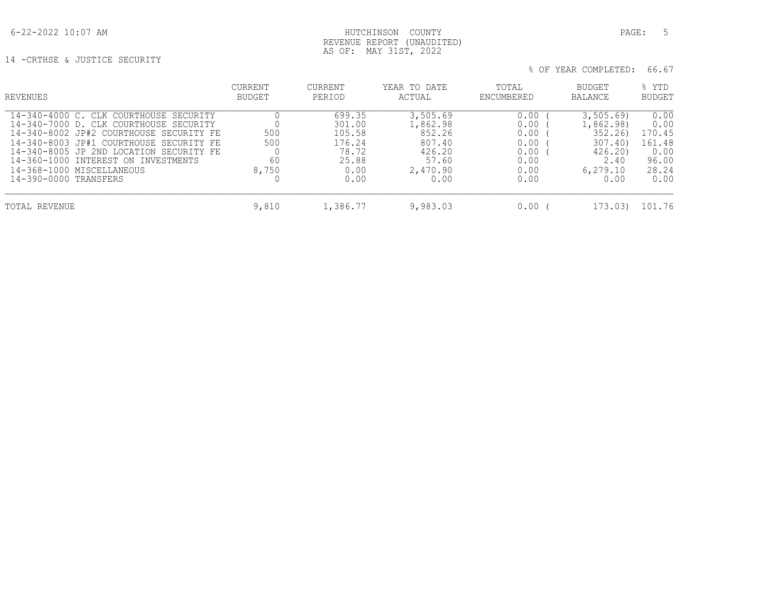AS OF: MAY 31ST, 2022 14 -CRTHSE & JUSTICE SECURITY

% OF YEAR COMPLETED: 66.67

| REVENUES                                                                                                                                                                                                                                                                                                       | <b>CURRENT</b><br>BUDGET  | CURRENT<br>PERIOD                                                      | YEAR TO DATE<br>ACTUAL                                                          | TOTAL<br>ENCUMBERED                                          | <b>BUDGET</b><br><b>BALANCE</b>                                                  | % YTD<br><b>BUDGET</b>                                             |
|----------------------------------------------------------------------------------------------------------------------------------------------------------------------------------------------------------------------------------------------------------------------------------------------------------------|---------------------------|------------------------------------------------------------------------|---------------------------------------------------------------------------------|--------------------------------------------------------------|----------------------------------------------------------------------------------|--------------------------------------------------------------------|
| 14-340-4000 C. CLK COURTHOUSE SECURITY<br>14-340-7000 D. CLK COURTHOUSE SECURITY<br>14-340-8002 JP#2 COURTHOUSE SECURITY FE<br>14-340-8003 JP#1 COURTHOUSE SECURITY FE<br>14-340-8005 JP 2ND LOCATION SECURITY FE<br>14-360-1000 INTEREST ON INVESTMENTS<br>14-368-1000 MISCELLANEOUS<br>14-390-0000 TRANSFERS | 500<br>500<br>60<br>8,750 | 699.35<br>301.00<br>105.58<br>176.24<br>78.72<br>25.88<br>0.00<br>0.00 | 3,505.69<br>1,862.98<br>852.26<br>807.40<br>426.20<br>57.60<br>2,470.90<br>0.00 | 0.00<br>0.00<br>0.00<br>0.00<br>0.00<br>0.00<br>0.00<br>0.00 | 3,505.69<br>1,862.98)<br>352.26<br>307.40<br>426.20<br>2.40<br>6, 279.10<br>0.00 | 0.00<br>0.00<br>170.45<br>161.48<br>0.00<br>96.00<br>28.24<br>0.00 |
| TOTAL REVENUE                                                                                                                                                                                                                                                                                                  | 9,810                     | 1,386.77                                                               | 9,983.03                                                                        | $0.00$ (                                                     | 173.03)                                                                          | 101.76                                                             |

REVENUE REPORT (UNAUDITED)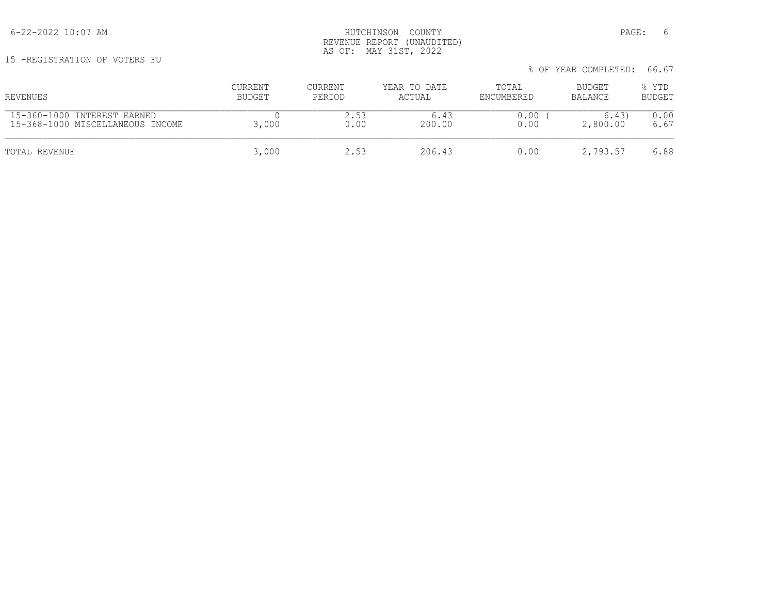15 -REGISTRATION OF VOTERS FU

| REVENUES                         | <b>CURRENT</b> | CURRENT | YEAR TO DATE | TOTAL      | BUDGET   | % YTD         |
|----------------------------------|----------------|---------|--------------|------------|----------|---------------|
|                                  | BUDGET         | PERIOD  | ACTUAL       | ENCUMBERED | BALANCE  | <b>BUDGET</b> |
| 15-360-1000 INTEREST EARNED      | 3,000          | 2.53    | 6.43         | 0.00       | 6.43     | 0.00          |
| 15-368-1000 MISCELLANEOUS INCOME |                | 0.00    | 200.00       | 0.00       | 2,800.00 | 6.67          |
| TOTAL REVENUE                    | 3,000          | 2.53    | 206.43       | 0.00       | 2,793.57 | 6.88          |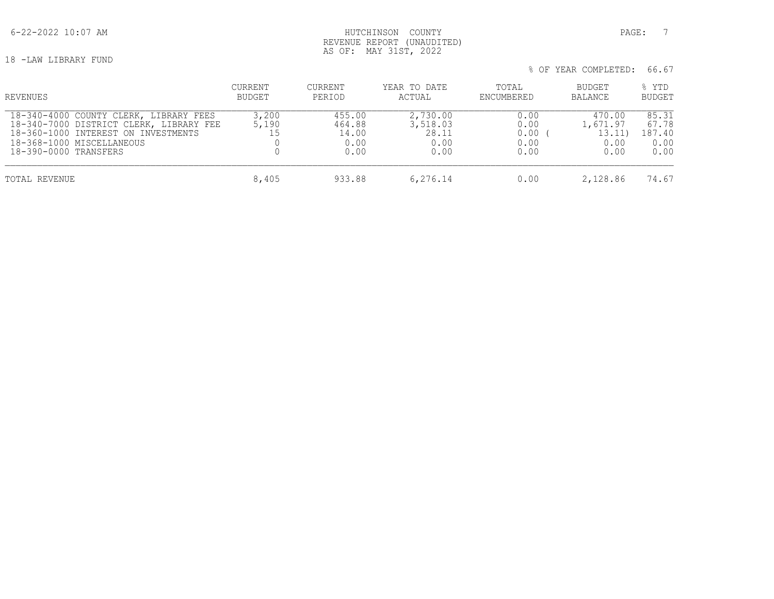# 6-22-2022 10:07 AM PAGE: 7 REVENUE REPORT (UNAUDITED) AS OF: MAY 31ST, 2022

18 -LAW LIBRARY FUND

| REVENUES                                                                                                                                                                       | CURRENT<br>BUDGET | <b>CURRENT</b><br>PERIOD                  | YEAR TO DATE<br>ACTUAL                        | TOTAL<br>ENCUMBERED                  | BUDGET<br>BALANCE                            | % YTD<br><b>BUDGET</b>                   |
|--------------------------------------------------------------------------------------------------------------------------------------------------------------------------------|-------------------|-------------------------------------------|-----------------------------------------------|--------------------------------------|----------------------------------------------|------------------------------------------|
| 18-340-4000 COUNTY CLERK, LIBRARY FEES<br>18-340-7000 DISTRICT CLERK, LIBRARY FEE<br>18-360-1000 INTEREST ON INVESTMENTS<br>18-368-1000 MISCELLANEOUS<br>18-390-0000 TRANSFERS | 3,200<br>5,190    | 455.00<br>464.88<br>14.00<br>0.00<br>0.00 | 2,730.00<br>3,518.03<br>28.11<br>0.00<br>0.00 | 0.00<br>0.00<br>0.00<br>0.00<br>0.00 | 470.00<br>1,671.97<br>13.11)<br>0.00<br>0.00 | 85.31<br>67.78<br>187.40<br>0.00<br>0.00 |
| TOTAL REVENUE                                                                                                                                                                  | 8,405             | 933.88                                    | 6,276.14                                      | 0.00                                 | 2,128.86                                     | 74.67                                    |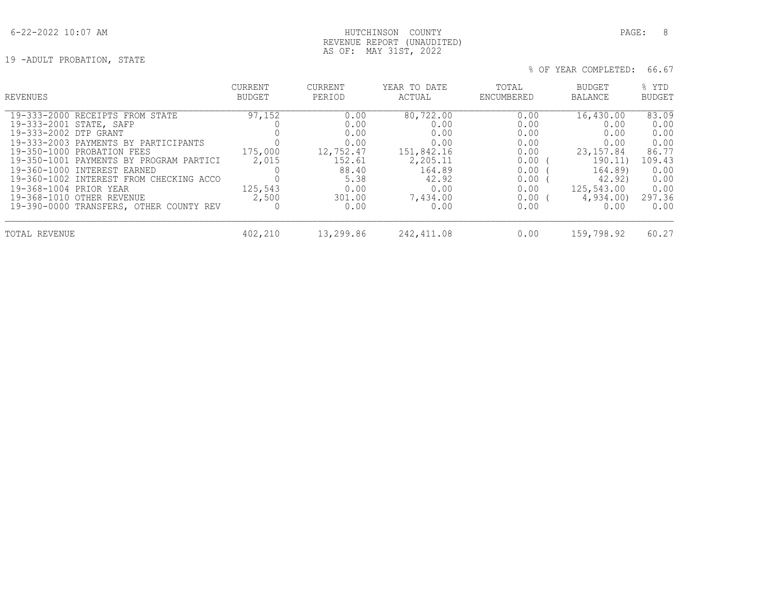# 6-22-2022 10:07 AM HUTCHINSON COUNTY PAGE: 8 REVENUE REPORT (UNAUDITED) AS OF: MAY 31ST, 2022

19 -ADULT PROBATION, STATE

| REVENUES                                | CURRENT | CURRENT   | YEAR TO DATE | TOTAL      | <b>BUDGET</b> | % YTD         |
|-----------------------------------------|---------|-----------|--------------|------------|---------------|---------------|
|                                         | BUDGET  | PERIOD    | ACTUAL       | ENCUMBERED | BALANCE       | <b>BUDGET</b> |
| 19-333-2000 RECEIPTS FROM STATE         | 97,152  | 0.00      | 80,722.00    | 0.00       | 16,430.00     | 83.09         |
| 19-333-2001 STATE, SAFP                 |         | 0.00      | 0.00         | 0.00       | 0.00          | 0.00          |
| 19-333-2002 DTP GRANT                   |         | 0.00      | 0.00         | 0.00       | 0.00          | 0.00          |
| 19-333-2003 PAYMENTS BY PARTICIPANTS    | 175,000 | 0.00      | 0.00         | 0.00       | 0.00          | 0.00          |
| 19-350-1000 PROBATION FEES              |         | 12,752.47 | 151,842.16   | 0.00       | 23, 157.84    | 86.77         |
| 19-350-1001 PAYMENTS BY PROGRAM PARTICI | 2,015   | 152.61    | 2,205.11     | 0.00       | 190.11)       | 109.43        |
| 19-360-1000 INTEREST EARNED             |         | 88.40     | 164.89       | 0.00       | 164.89)       | 0.00          |
| 19-360-1002 INTEREST FROM CHECKING ACCO |         | 5.38      | 42.92        | 0.00       | 42.92)        | 0.00          |
| 19-368-1004 PRIOR YEAR                  | 125,543 | 0.00      | 0.00         | 0.00       | 125,543.00    | 0.00          |
| 19-368-1010 OTHER REVENUE               | 2,500   | 301.00    | 7,434.00     | $0.00$ (   | 4,934.00)     | 297.36        |
| 19-390-0000 TRANSFERS, OTHER COUNTY REV |         | 0.00      | 0.00         | 0.00       | 0.00          | 0.00          |
| TOTAL REVENUE                           | 402,210 | 13,299.86 | 242, 411.08  | 0.00       | 159,798.92    | 60.27         |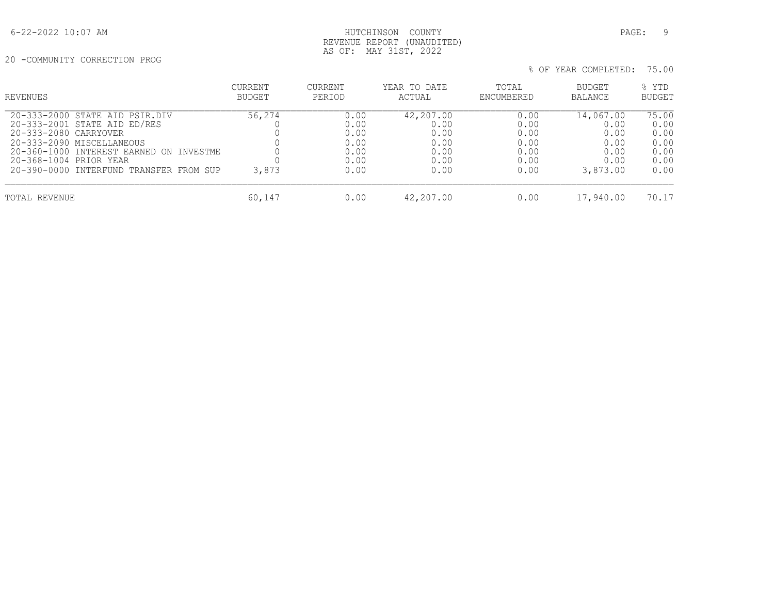20 -COMMUNITY CORRECTION PROG

| % OF YEAR COMPLETED: 75.00 |
|----------------------------|
|                            |

| REVENUES                                                                                                                                                                                                                             | CURRENT<br><b>BUDGET</b> | CURRENT<br>PERIOD                                    | YEAR TO DATE<br>ACTUAL                                    | TOTAL<br>ENCUMBERED                                  | BUDGET<br><b>BALANCE</b>                                      | % YTD<br><b>BUDGET</b>                                |
|--------------------------------------------------------------------------------------------------------------------------------------------------------------------------------------------------------------------------------------|--------------------------|------------------------------------------------------|-----------------------------------------------------------|------------------------------------------------------|---------------------------------------------------------------|-------------------------------------------------------|
| 20-333-2000 STATE AID PSIR.DIV<br>20-333-2001 STATE AID ED/RES<br>20-333-2080 CARRYOVER<br>20-333-2090 MISCELLANEOUS<br>20-360-1000 INTEREST EARNED ON INVESTME<br>20-368-1004 PRIOR YEAR<br>20-390-0000 INTERFUND TRANSFER FROM SUP | 56,274<br>3,873          | 0.00<br>0.00<br>0.00<br>0.00<br>0.00<br>0.00<br>0.00 | 42,207.00<br>0.00<br>0.00<br>0.00<br>0.00<br>0.00<br>0.00 | 0.00<br>0.00<br>0.00<br>0.00<br>0.00<br>0.00<br>0.00 | 14,067.00<br>0.00<br>0.00<br>0.00<br>0.00<br>0.00<br>3,873.00 | 75.00<br>0.00<br>0.00<br>0.00<br>0.00<br>0.00<br>0.00 |
| TOTAL REVENUE                                                                                                                                                                                                                        | 60,147                   | 0.00                                                 | 42,207.00                                                 | 0.00                                                 | 17,940.00                                                     | 70.17                                                 |

 REVENUE REPORT (UNAUDITED) AS OF: MAY 31ST, 2022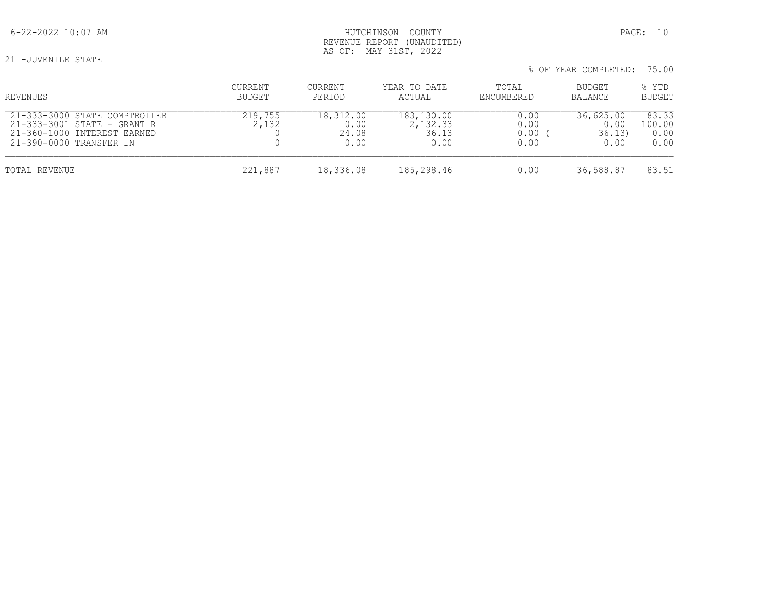21 -JUVENILE STATE

| REVENUES                                                                                                               | <b>CURRENT</b><br>BUDGET | CURRENT<br>PERIOD                  | YEAR TO DATE<br>ACTUAL                  | TOTAL<br>ENCUMBERED          | BUDGET<br>BALANCE                   | % YTD<br><b>BUDGET</b>          |
|------------------------------------------------------------------------------------------------------------------------|--------------------------|------------------------------------|-----------------------------------------|------------------------------|-------------------------------------|---------------------------------|
| 21-333-3000 STATE COMPTROLLER<br>21-333-3001 STATE - GRANT R<br>21-360-1000 INTEREST EARNED<br>21-390-0000 TRANSFER IN | 219,755<br>2,132         | 18,312.00<br>0.00<br>24.08<br>0.00 | 183,130.00<br>2,132.33<br>36.13<br>0.00 | 0.00<br>0.00<br>0.00<br>0.00 | 36,625.00<br>0.00<br>36.13)<br>0.00 | 83.33<br>100.00<br>0.00<br>0.00 |
| TOTAL REVENUE                                                                                                          | 221,887                  | 18,336.08                          | 185,298.46                              | 0.00                         | 36,588.87                           | 83.51                           |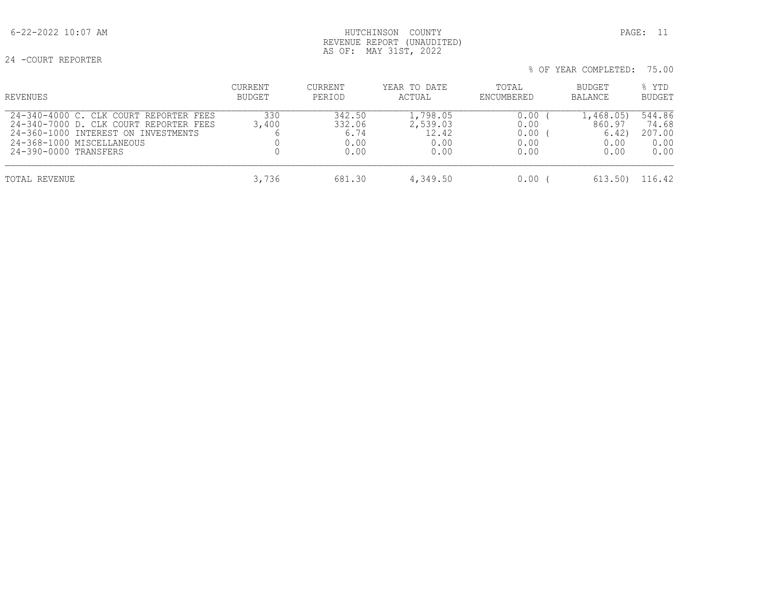# 6-22-2022 10:07 AM HUTCHINSON COUNTY PAGE: 11 REVENUE REPORT (UNAUDITED) AS OF: MAY 31ST, 2022

24 -COURT REPORTER

| REVENUES                                                                                                                                                                      | CURRENT<br><b>BUDGET</b> | CURRENT<br>PERIOD                        | YEAR TO DATE<br>ACTUAL                        | TOTAL<br>ENCUMBERED                  | BUDGET<br><b>BALANCE</b>                     | % YTD<br><b>BUDGET</b>                    |
|-------------------------------------------------------------------------------------------------------------------------------------------------------------------------------|--------------------------|------------------------------------------|-----------------------------------------------|--------------------------------------|----------------------------------------------|-------------------------------------------|
| 24-340-4000 C. CLK COURT REPORTER FEES<br>24-340-7000 D. CLK COURT REPORTER FEES<br>24-360-1000 INTEREST ON INVESTMENTS<br>24-368-1000 MISCELLANEOUS<br>24-390-0000 TRANSFERS | 330<br>3,400             | 342.50<br>332.06<br>6.74<br>0.00<br>0.00 | 1,798.05<br>2,539.03<br>12.42<br>0.00<br>0.00 | 0.00<br>0.00<br>0.00<br>0.00<br>0.00 | 1,468.05)<br>860.97<br>6.42)<br>0.00<br>0.00 | 544.86<br>74.68<br>207.00<br>0.00<br>0.00 |
| TOTAL REVENUE                                                                                                                                                                 | 3,736                    | 681.30                                   | 4,349.50                                      | 0.00                                 | 613.50)                                      | 116.42                                    |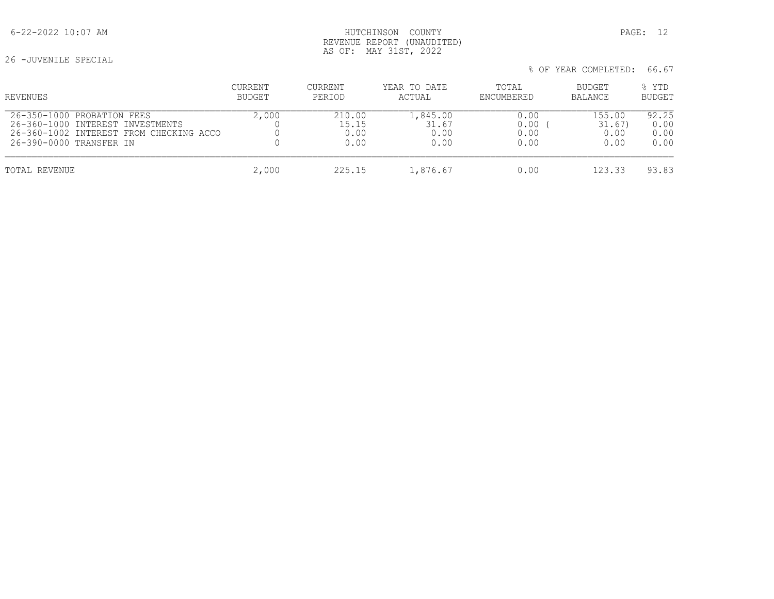26 -JUVENILE SPECIAL

| REVENUES                                | <b>CURRENT</b> | <b>CURRENT</b> | YEAR TO DATE | TOTAL      | BUDGET  | % YTD         |
|-----------------------------------------|----------------|----------------|--------------|------------|---------|---------------|
|                                         | BUDGET         | PERIOD         | ACTUAL       | ENCUMBERED | BALANCE | <b>BUDGET</b> |
| 26-350-1000 PROBATION FEES              | 2,000          | 210.00         | 1,845.00     | 0.00       | 155.00  | 92.25         |
| 26-360-1000 INTEREST INVESTMENTS        |                | 15.15          | 31.67        | 0.00       | 31.67)  | 0.00          |
| 26-360-1002 INTEREST FROM CHECKING ACCO |                | 0.00           | 0.00         | 0.00       | 0.00    | 0.00          |
| 26-390-0000 TRANSFER IN                 |                | 0.00           | 0.00         | 0.00       | 0.00    | 0.00          |
| TOTAL REVENUE                           | 2,000          | 225.15         | 1,876.67     | 0.00       | 123.33  | 93.83         |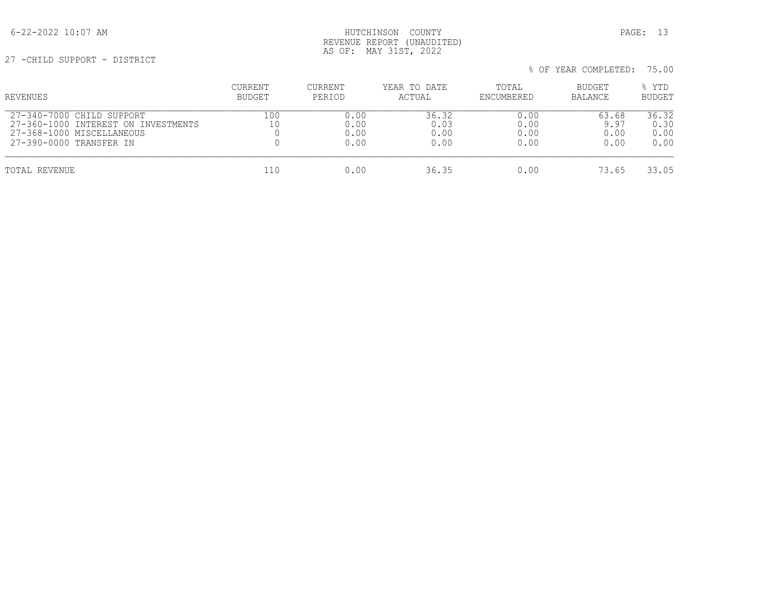# 6-22-2022 10:07 AM HUTCHINSON COUNTY PAGE: 13 REVENUE REPORT (UNAUDITED) AS OF: MAY 31ST, 2022

27 -CHILD SUPPORT - DISTRICT

| REVENUES                                                                                                                 | <b>CURRENT</b><br><b>BUDGET</b> | CURRENT<br>PERIOD            | YEAR TO DATE<br>ACTUAL        | TOTAL<br>ENCUMBERED          | <b>BUDGET</b><br><b>BALANCE</b> | % YTD<br><b>BUDGET</b>        |
|--------------------------------------------------------------------------------------------------------------------------|---------------------------------|------------------------------|-------------------------------|------------------------------|---------------------------------|-------------------------------|
| 27-340-7000 CHILD SUPPORT<br>27-360-1000 INTEREST ON INVESTMENTS<br>27-368-1000 MISCELLANEOUS<br>27-390-0000 TRANSFER IN | 100<br>10                       | 0.00<br>0.00<br>0.00<br>0.00 | 36.32<br>0.03<br>0.00<br>0.00 | 0.00<br>0.00<br>0.00<br>0.00 | 63.68<br>9.97<br>0.00<br>0.00   | 36.32<br>0.30<br>0.00<br>0.00 |
| TOTAL REVENUE                                                                                                            | 110                             | 0.00                         | 36.35                         | 0.00                         | 73.65                           | 33.05                         |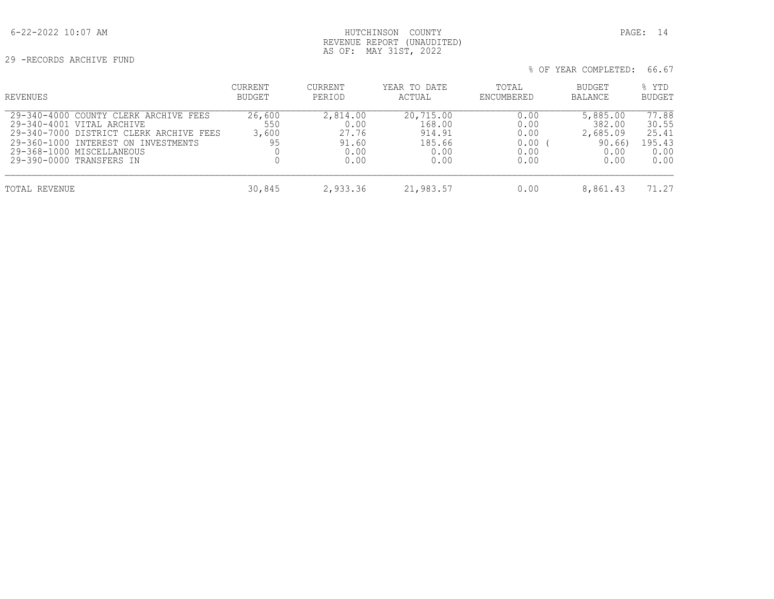29 -RECORDS ARCHIVE FUND

| REVENUES                                                                                                                                                                                                      | CURRENT<br><b>BUDGET</b>     | <b>CURRENT</b><br>PERIOD                           | YEAR TO DATE<br>ACTUAL                                  | TOTAL<br>ENCUMBERED                          | <b>BUDGET</b><br>BALANCE                                | % YTD<br><b>BUDGET</b>                            |
|---------------------------------------------------------------------------------------------------------------------------------------------------------------------------------------------------------------|------------------------------|----------------------------------------------------|---------------------------------------------------------|----------------------------------------------|---------------------------------------------------------|---------------------------------------------------|
| 29-340-4000 COUNTY CLERK ARCHIVE FEES<br>29-340-4001 VITAL ARCHIVE<br>29-340-7000 DISTRICT CLERK ARCHIVE FEES<br>29-360-1000 INTEREST ON INVESTMENTS<br>29-368-1000 MISCELLANEOUS<br>29-390-0000 TRANSFERS IN | 26,600<br>550<br>3,600<br>95 | 2,814.00<br>0.00<br>27.76<br>91.60<br>0.00<br>0.00 | 20,715.00<br>168.00<br>914.91<br>185.66<br>0.00<br>0.00 | 0.00<br>0.00<br>0.00<br>0.00<br>0.00<br>0.00 | 5,885.00<br>382.00<br>2,685.09<br>90.66<br>0.00<br>0.00 | 77.88<br>30.55<br>25.41<br>195.43<br>0.00<br>0.00 |
| TOTAL REVENUE                                                                                                                                                                                                 | 30,845                       | 2,933.36                                           | 21,983.57                                               | 0.00                                         | 8,861.43                                                | 71.27                                             |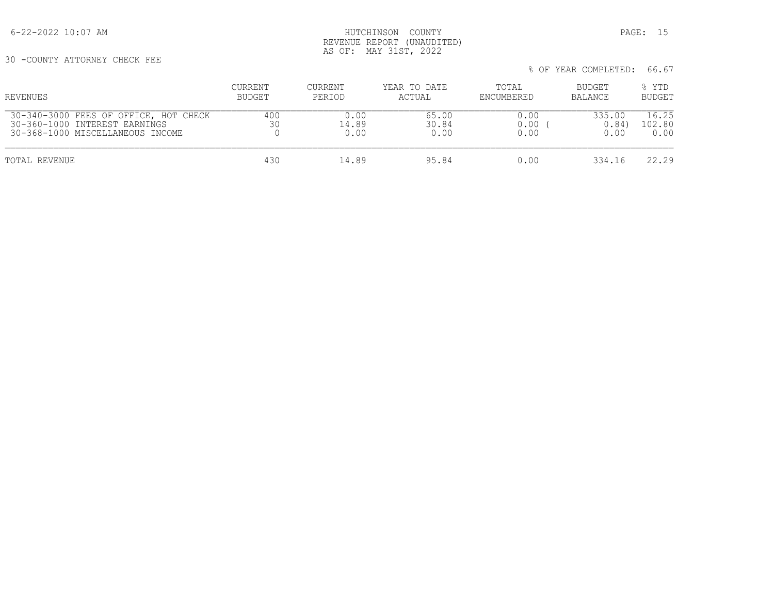6-22-2022 10:07 AM HUTCHINSON COUNTY PAGE: 15 REVENUE REPORT (UNAUDITED) AS OF: MAY 31ST, 2022

30 -COUNTY ATTORNEY CHECK FEE

| REVENUES                                                                                                   | <b>CURRENT</b><br>BUDGET | <b>CURRENT</b><br>PERIOD | YEAR TO DATE<br>ACTUAL | TOTAL<br>ENCUMBERED  | <b>BUDGET</b><br>BALANCE | % YTD<br><b>BUDGET</b>  |
|------------------------------------------------------------------------------------------------------------|--------------------------|--------------------------|------------------------|----------------------|--------------------------|-------------------------|
| 30-340-3000 FEES OF OFFICE, HOT CHECK<br>30-360-1000 INTEREST EARNINGS<br>30-368-1000 MISCELLANEOUS INCOME | 400<br>30                | 0.00<br>14.89<br>0.00    | 65.00<br>30.84<br>0.00 | 0.00<br>0.00<br>0.00 | 335.00<br>0.84<br>0.00   | 16.25<br>102.80<br>0.00 |
| TOTAL REVENUE                                                                                              | 430                      | 14.89                    | 95.84                  | 0.00                 | 334.16                   | 22.29                   |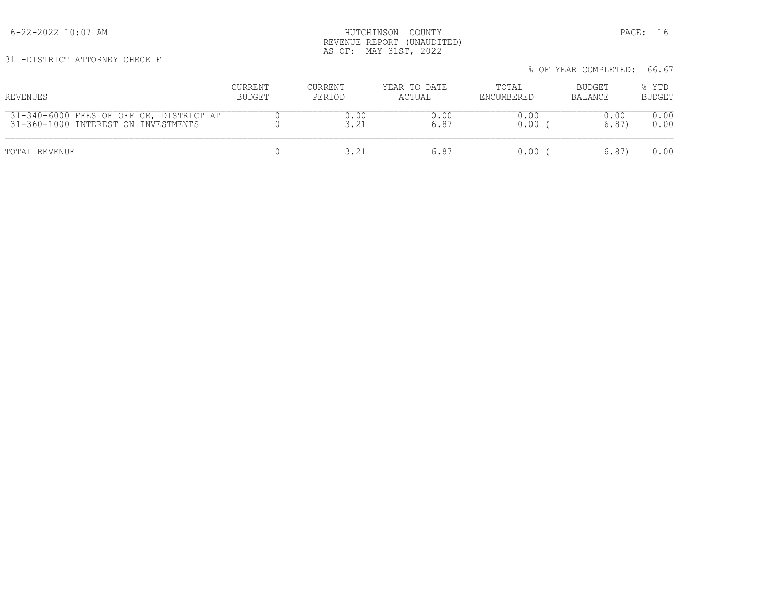6-22-2022 10:07 AM HUTCHINSON COUNTY PAGE: 16 REVENUE REPORT (UNAUDITED) AS OF: MAY 31ST, 2022

31 -DISTRICT ATTORNEY CHECK F

| REVENUES                                                                       | CURRENT<br>BUDGET | CURRENT<br>PERIOD | YEAR TO DATE<br>ACTUAL | TOTAL<br>ENCUMBERED | BUDGET<br>BALANCE | % YTD<br><b>BUDGET</b> |
|--------------------------------------------------------------------------------|-------------------|-------------------|------------------------|---------------------|-------------------|------------------------|
| 31-340-6000 FEES OF OFFICE, DISTRICT AT<br>31-360-1000 INTEREST ON INVESTMENTS |                   | 0.00              | 0.00<br>6.87           | 0.00<br>0.00        | 0.00<br>6.87      | 0.00<br>0.00           |
| TOTAL REVENUE                                                                  |                   | 3.21              | 6.87                   | $0.00$ (            | 6.87              | 0.00                   |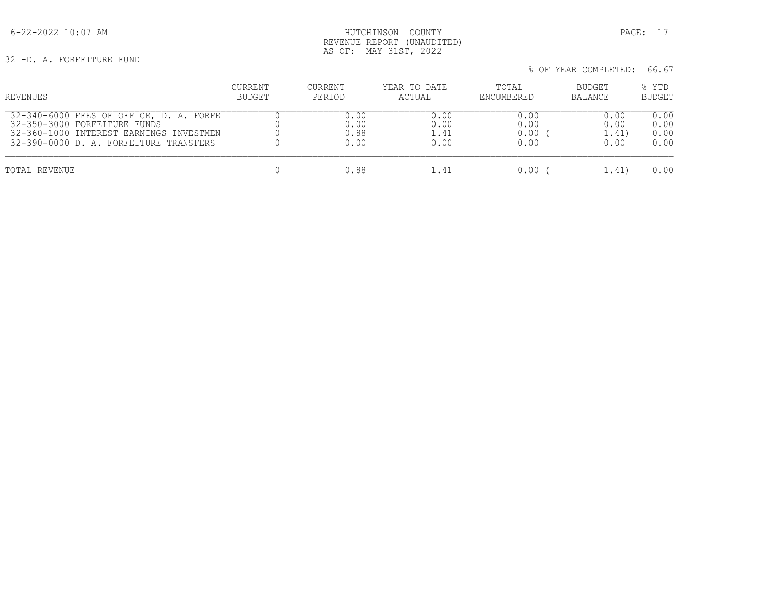# 6-22-2022 10:07 AM HUTCHINSON COUNTY PAGE: 17 REVENUE REPORT (UNAUDITED) AS OF: MAY 31ST, 2022

32 -D. A. FORFEITURE FUND

| % OF YEAR COMPLETED: 66.67 |  |  |  |  |
|----------------------------|--|--|--|--|
|----------------------------|--|--|--|--|

| REVENUES                                | CURRENT | <b>CURRENT</b> | YEAR TO DATE | TOTAL      | BUDGET  | % YTD         |
|-----------------------------------------|---------|----------------|--------------|------------|---------|---------------|
|                                         | BUDGET  | PERIOD         | ACTUAL       | ENCUMBERED | BALANCE | <b>BUDGET</b> |
| 32-340-6000 FEES OF OFFICE, D. A. FORFE |         | 0.00           | 0.00         | 0.00       | 0.00    | 0.00          |
| 32-350-3000 FORFEITURE FUNDS            |         | 0.00           | 0.00         | 0.00       | 0.00    | 0.00          |
| 32-360-1000 INTEREST EARNINGS INVESTMEN |         | 0.88           | l.41         | 0.00       | 1.41)   | 0.00          |
| 32-390-0000 D. A. FORFEITURE TRANSFERS  |         | 0.00           | 0.00         | 0.00       | 0.00    | 0.00          |
| TOTAL REVENUE                           |         | 0.88           | 1.41         | 0.00 -     | 1.41)   | 0.00          |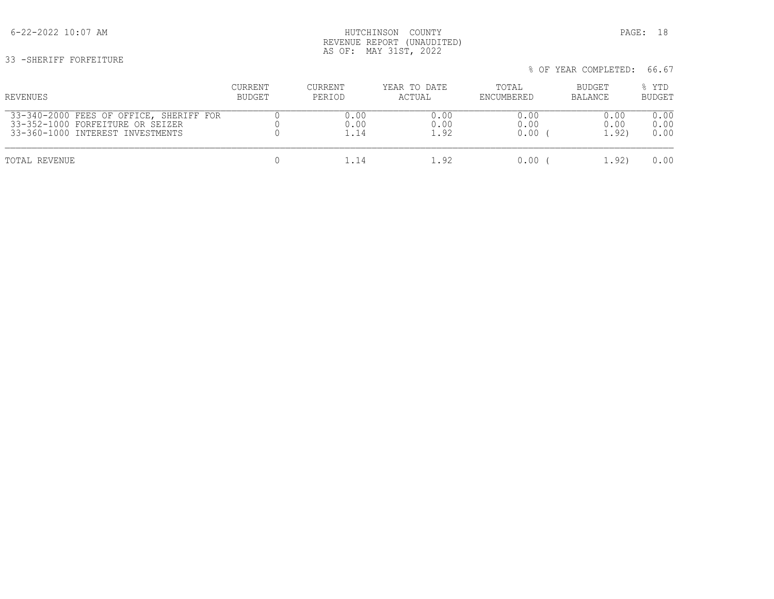# 6-22-2022 10:07 AM HUTCHINSON COUNTY PAGE: 18 REVENUE REPORT (UNAUDITED) AS OF: MAY 31ST, 2022

33 -SHERIFF FORFEITURE

| % OF YEAR COMPLETED: 66.67 |
|----------------------------|
|                            |

| REVENUES                                | <b>CURRENT</b> | CURRENT | YEAR TO DATE | TOTAL      | BUDGET  | % YTD         |
|-----------------------------------------|----------------|---------|--------------|------------|---------|---------------|
|                                         | BUDGET         | PERIOD  | ACTUAL       | ENCUMBERED | BALANCE | <b>BUDGET</b> |
| 33-340-2000 FEES OF OFFICE, SHERIFF FOR |                | 0.00    | 0.00         | 0.00       | 0.00    | 0.00          |
| 33-352-1000 FORFEITURE OR SEIZER        |                | 0.00    | 0.00         | 0.00       | 0.00    | 0.00          |
| 33-360-1000 INTEREST INVESTMENTS        |                | 1.14    | 1.92         | 0.00       | 1.92)   | 0.00          |
| TOTAL REVENUE                           |                | 1.14    | 1.92         | 0.00       | 1.92)   | 0.00          |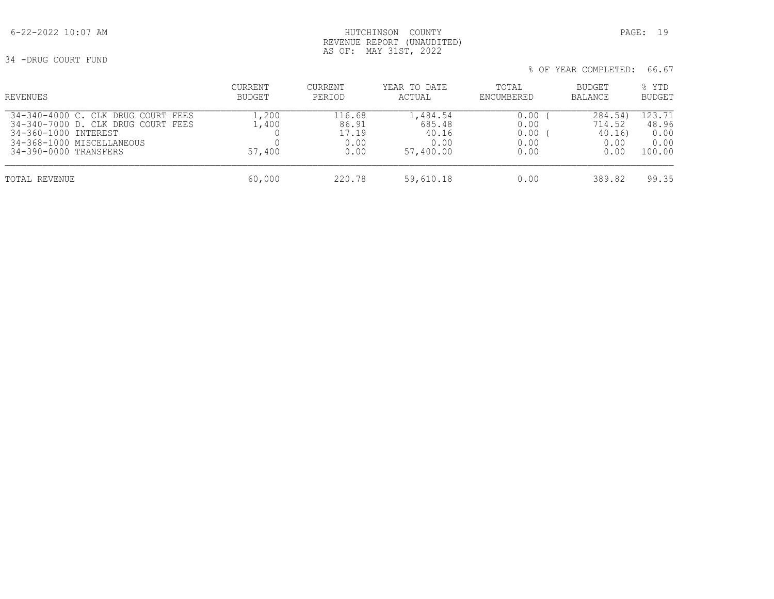34 -DRUG COURT FUND

| REVENUES                                                                                                                                               | CURRENT<br>BUDGET       | CURRENT<br>PERIOD                        | YEAR TO DATE<br>ACTUAL                           | TOTAL<br>ENCUMBERED                  | BUDGET<br><b>BALANCE</b>                    | % YTD<br><b>BUDGET</b>                    |
|--------------------------------------------------------------------------------------------------------------------------------------------------------|-------------------------|------------------------------------------|--------------------------------------------------|--------------------------------------|---------------------------------------------|-------------------------------------------|
| 34-340-4000 C. CLK DRUG COURT FEES<br>34-340-7000 D. CLK DRUG COURT FEES<br>34-360-1000 INTEREST<br>34-368-1000 MISCELLANEOUS<br>34-390-0000 TRANSFERS | .,200<br>.400<br>57,400 | 116.68<br>86.91<br>17.19<br>0.00<br>0.00 | l,484.54<br>685.48<br>40.16<br>0.00<br>57,400.00 | 0.00<br>0.00<br>0.00<br>0.00<br>0.00 | 284.54)<br>714.52<br>40.16)<br>0.00<br>0.00 | 123.71<br>48.96<br>0.00<br>0.00<br>100.00 |
| TOTAL REVENUE                                                                                                                                          | 60,000                  | 220.78                                   | 59,610.18                                        | 0.00                                 | 389.82                                      | 99.35                                     |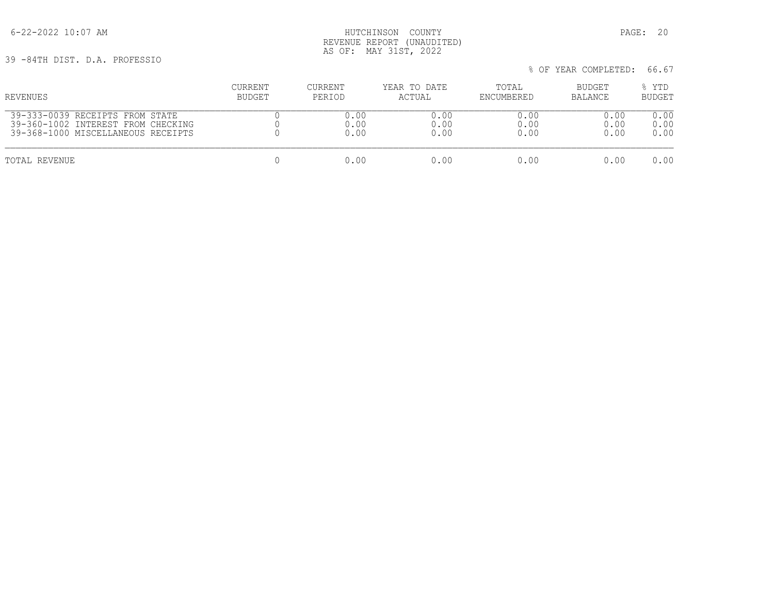6-22-2022 10:07 AM HUTCHINSON COUNTY PAGE: 20 REVENUE REPORT (UNAUDITED) AS OF: MAY 31ST, 2022

39 -84TH DIST. D.A. PROFESSIO

| JY T04IN DIJI. D.A. PAVPLJJIV      |         |         |              |            | % OF YEAR COMPLETED: | 66.67         |
|------------------------------------|---------|---------|--------------|------------|----------------------|---------------|
| REVENUES                           | CURRENT | CURRENT | YEAR TO DATE | TOTAL      | <b>BUDGET</b>        | % YTD         |
|                                    | BUDGET  | PERIOD  | ACTUAL       | ENCUMBERED | BALANCE              | <b>BUDGET</b> |
| 39-333-0039 RECEIPTS FROM STATE    |         | 0.00    | 0.00         | 0.00       | 0.00                 | 0.00          |
| 39-360-1002 INTEREST FROM CHECKING |         | 0.00    | 0.00         | 0.00       | 0.00                 | 0.00          |
| 39-368-1000 MISCELLANEOUS RECEIPTS |         | 0.00    | 0.00         | 0.00       | 0.00                 | 0.00          |
| TOTAL REVENUE                      |         | 0.00    | 0.00         | 0.00       | 0.00                 | 0.00          |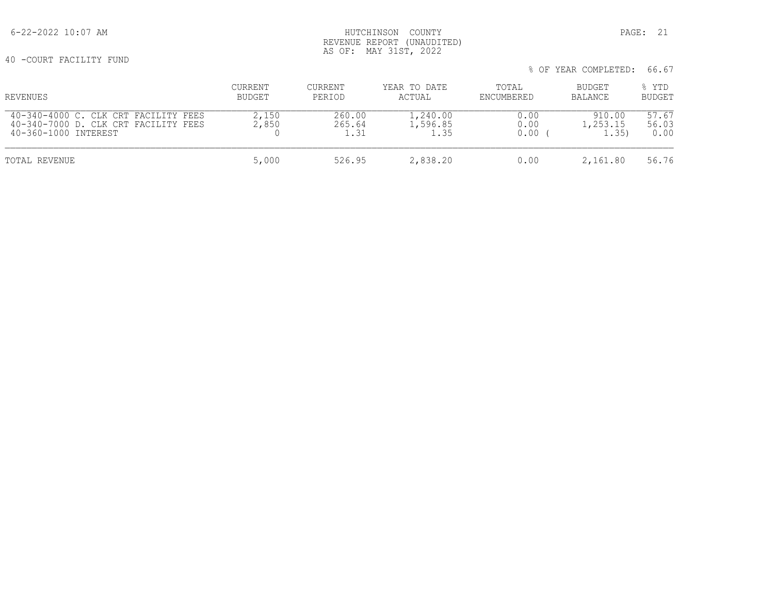# 6-22-2022 10:07 AM HUTCHINSON COUNTY PAGE: 21 REVENUE REPORT (UNAUDITED) AS OF: MAY 31ST, 2022

40 -COURT FACILITY FUND

| % OF YEAR COMPLETED: 66.67 |
|----------------------------|
|                            |

| REVENUES                                                                                             | CURRENT<br>BUDGET | CURRENT<br>PERIOD        | YEAR TO DATE<br>ACTUAL       | TOTAL<br>ENCUMBERED  | BUDGET<br>BALANCE           | % YTD<br><b>BUDGET</b> |
|------------------------------------------------------------------------------------------------------|-------------------|--------------------------|------------------------------|----------------------|-----------------------------|------------------------|
| 40-340-4000 C. CLK CRT FACILITY FEES<br>40-340-7000 D. CLK CRT FACILITY FEES<br>40-360-1000 INTEREST | 2,150<br>2,850    | 260.00<br>265.64<br>1.31 | 1,240.00<br>1,596.85<br>1.35 | 0.00<br>0.00<br>0.00 | 910.00<br>1,253.15<br>1.35) | 57.67<br>56.03<br>0.00 |
| TOTAL REVENUE                                                                                        | 5,000             | 526.95                   | 2,838.20                     | 0.00                 | 2,161.80                    | 56.76                  |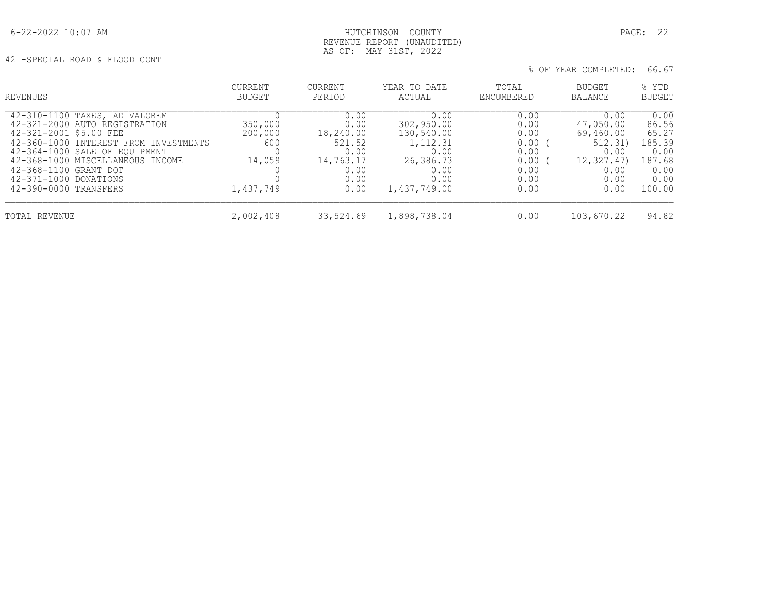42 -SPECIAL ROAD & FLOOD CONT

| REVENUES                              | <b>CURRENT</b> | <b>CURRENT</b> | YEAR TO DATE | TOTAL      | <b>BUDGET</b>  | % YTD         |
|---------------------------------------|----------------|----------------|--------------|------------|----------------|---------------|
|                                       | BUDGET         | PERIOD         | ACTUAL       | ENCUMBERED | <b>BALANCE</b> | <b>BUDGET</b> |
| 42-310-1100 TAXES, AD VALOREM         | 350,000        | 0.00           | 0.00         | 0.00       | 0.00           | 0.00          |
| 42-321-2000 AUTO REGISTRATION         |                | 0.00           | 302,950.00   | 0.00       | 47,050.00      | 86.56         |
| 42-321-2001 \$5.00 FEE                | 200,000        | 18,240.00      | 130,540.00   | 0.00       | 69,460.00      | 65.27         |
| 42-360-1000 INTEREST FROM INVESTMENTS | 600            | 521.52         | 1,112.31     | 0.00       | 512.31)        | 185.39        |
| 42-364-1000 SALE OF EQUIPMENT         | 14,059         | 0.00           | 0.00         | 0.00       | 0.00           | 0.00          |
| 42-368-1000 MISCELLANEOUS INCOME      |                | 14,763.17      | 26,386.73    | 0.00       | 12,327.47)     | 187.68        |
| 42-368-1100 GRANT DOT                 |                | 0.00           | 0.00         | 0.00       | 0.00           | 0.00          |
| 42-371-1000 DONATIONS                 | 1,437,749      | 0.00           | 0.00         | 0.00       | 0.00           | 0.00          |
| 42-390-0000 TRANSFERS                 |                | 0.00           | 1,437,749.00 | 0.00       | 0.00           | 100.00        |
| TOTAL REVENUE                         | 2,002,408      | 33,524.69      | 1,898,738.04 | 0.00       | 103,670.22     | 94.82         |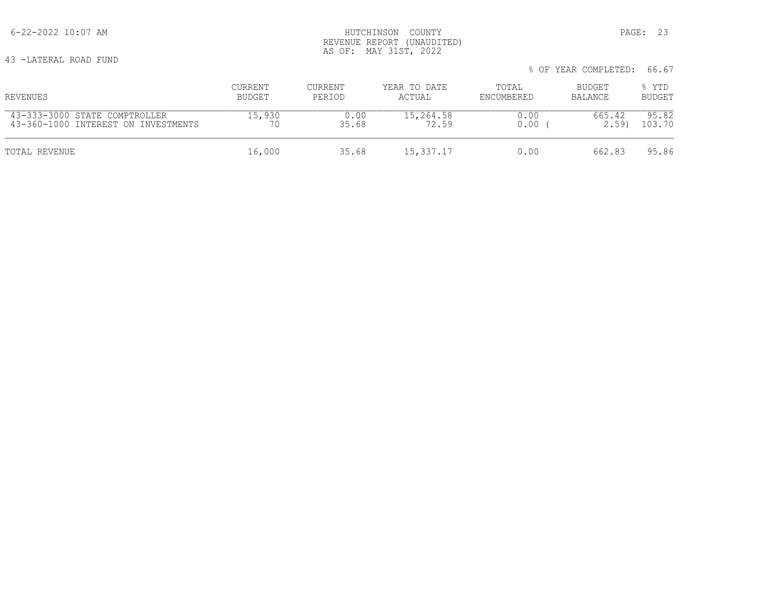43 -LATERAL ROAD FUND

|                                     |         |         |              |            | % OF YEAR COMPLETED: | 66.67         |
|-------------------------------------|---------|---------|--------------|------------|----------------------|---------------|
| REVENUES                            | CURRENT | CURRENT | YEAR TO DATE | TOTAL      | BUDGET               | % YTD         |
|                                     | BUDGET  | PERIOD  | ACTUAL       | ENCUMBERED | BALANCE              | <b>BUDGET</b> |
| 43-333-3000 STATE COMPTROLLER       | 15,930  | 0.00    | 15,264.58    | 0.00       | 665.42               | 95.82         |
| 43-360-1000 INTEREST ON INVESTMENTS |         | 35.68   | 72.59        | 0.00       | 2.59                 | 103.70        |
| TOTAL REVENUE                       | 16,000  | 35.68   | 15,337.17    | 0.00       | 662.83               | 95.86         |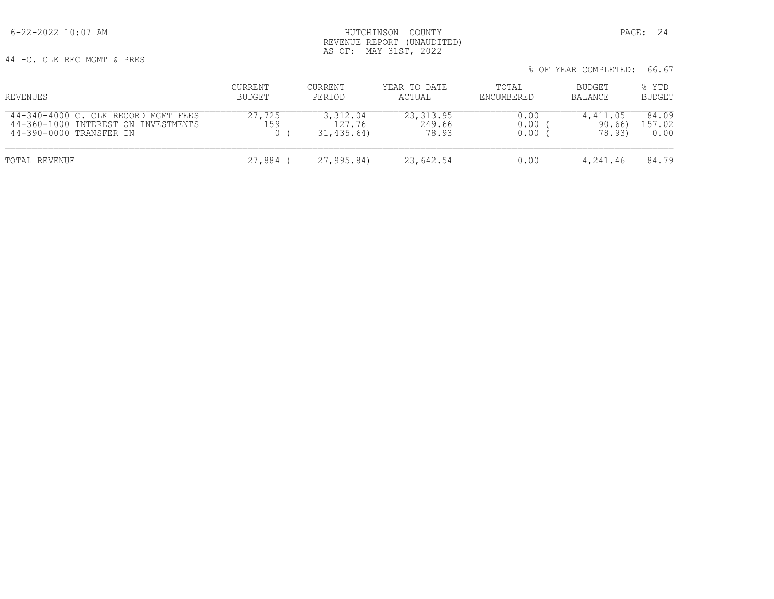44 -C. CLK REC MGMT & PRES

|                                                                                                       |                   |                                   |                               |                      | % OF YEAR COMPLETED:         | 66.67                   |
|-------------------------------------------------------------------------------------------------------|-------------------|-----------------------------------|-------------------------------|----------------------|------------------------------|-------------------------|
| REVENUES                                                                                              | CURRENT<br>BUDGET | CURRENT<br>PERIOD                 | YEAR TO DATE<br>ACTUAL        | TOTAL<br>ENCUMBERED  | BUDGET<br>BALANCE            | % YTD<br><b>BUDGET</b>  |
| 44-340-4000 C. CLK RECORD MGMT FEES<br>44-360-1000 INTEREST ON INVESTMENTS<br>44-390-0000 TRANSFER IN | 27,725<br>159     | 3,312.04<br>127.76<br>31, 435.64) | 23, 313.95<br>249.66<br>78.93 | 0.00<br>0.00<br>0.00 | 4,411.05<br>90.66)<br>78.93) | 84.09<br>157.02<br>0.00 |
| TOTAL REVENUE                                                                                         | 27,884 (          | 27,995.84)                        | 23,642.54                     | 0.00                 | 4,241.46                     | 84.79                   |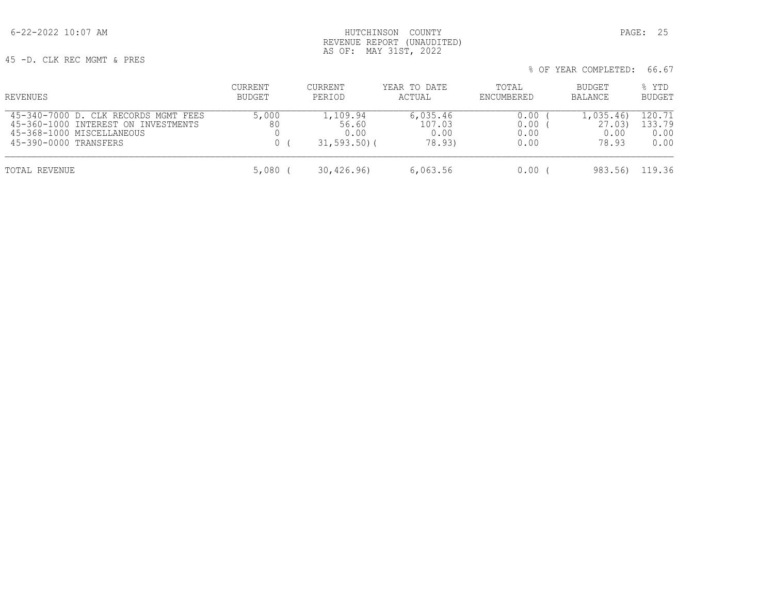45 -D. CLK REC MGMT & PRES

| REVENUES                                                                                                                          | CURRENT<br>BUDGET | CURRENT<br>PERIOD                            | YEAR TO DATE<br>ACTUAL               | TOTAL<br>ENCUMBERED          | BUDGET<br>BALANCE                   | % YTD<br>BUDGET                  |
|-----------------------------------------------------------------------------------------------------------------------------------|-------------------|----------------------------------------------|--------------------------------------|------------------------------|-------------------------------------|----------------------------------|
| 45-340-7000 D. CLK RECORDS MGMT FEES<br>45-360-1000 INTEREST ON INVESTMENTS<br>45-368-1000 MISCELLANEOUS<br>45-390-0000 TRANSFERS | 5,000<br>80       | 1,109.94<br>56.60<br>0.00<br>$31, 593, 50$ ( | 6,035.46<br>107.03<br>0.00<br>78.93) | 0.00<br>0.00<br>0.00<br>0.00 | 1,035.46<br>27.03)<br>0.00<br>78.93 | 120.71<br>.33.79<br>0.00<br>0.00 |
| TOTAL REVENUE                                                                                                                     | 5,080             | 30,426.96                                    | 6,063.56                             | 0.00                         | 983.56)                             | 119.36                           |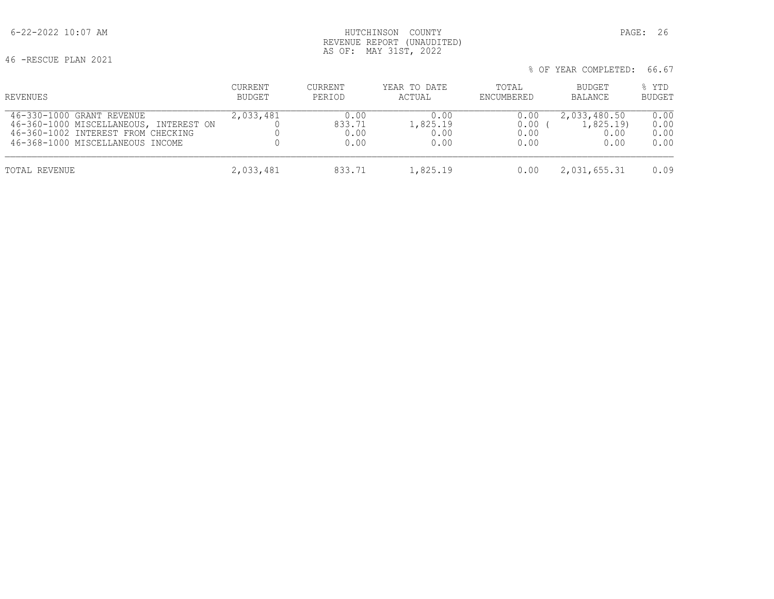# 6-22-2022 10:07 AM HUTCHINSON COUNTY PAGE: 26 REVENUE REPORT (UNAUDITED) AS OF: MAY 31ST, 2022

46 -RESCUE PLAN 2021

| % OF YEAR COMPLETED: 66.67 |
|----------------------------|
|                            |

| REVENUES                               | CURRENT       | CURRENT | YEAR TO DATE | TOTAL      | BUDGET         | % YTD         |
|----------------------------------------|---------------|---------|--------------|------------|----------------|---------------|
|                                        | <b>BUDGET</b> | PERIOD  | ACTUAL       | ENCUMBERED | <b>BALANCE</b> | <b>BUDGET</b> |
| 46-330-1000 GRANT REVENUE              | 2,033,481     | 0.00    | 0.00         | 0.00       | 2,033,480.50   | 0.00          |
| 46-360-1000 MISCELLANEOUS, INTEREST ON |               | 833.71  | 1,825.19     | 0.00       | 1,825.19       | 0.00          |
| 46-360-1002 INTEREST FROM CHECKING     |               | 0.00    | 0.00         | 0.00       | 0.00           | 0.00          |
| 46-368-1000 MISCELLANEOUS INCOME       |               | 0.00    | 0.00         | 0.00       | 0.00           | 0.00          |
| TOTAL REVENUE                          | 2,033,481     | 833.71  | 1,825.19     | 0.00       | 2,031,655.31   | 0.09          |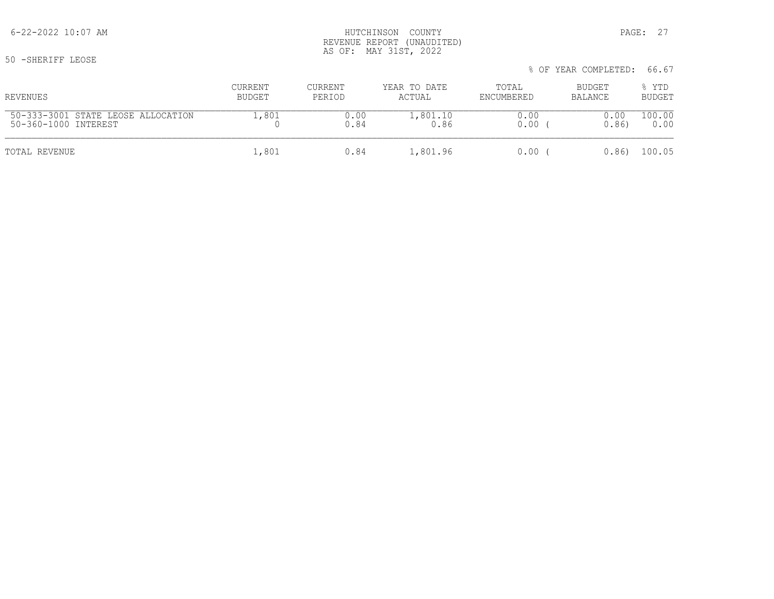50 -SHERIFF LEOSE

# 6-22-2022 10:07 AM PAGE: 27 REVENUE REPORT (UNAUDITED) AS OF: MAY 31ST, 2022

| REVENUES                           | CURRENT | CURRENT | YEAR TO DATE | TOTAL      | BUDGET  | % YTD         |
|------------------------------------|---------|---------|--------------|------------|---------|---------------|
|                                    | BUDGET  | PERIOD  | ACTUAL       | ENCUMBERED | BALANCE | <b>BUDGET</b> |
| 50-333-3001 STATE LEOSE ALLOCATION | L.801   | 0.00    | 1,801.10     | 0.00       | 0.00    | 100.00        |
| 50-360-1000 INTEREST               |         | 0.84    | 0.86         | 0.00       | 0.86    | 0.00          |
| TOTAL REVENUE                      | 1,801   | 0.84    | 1,801.96     | 0.00       | 0.86    | 100.05        |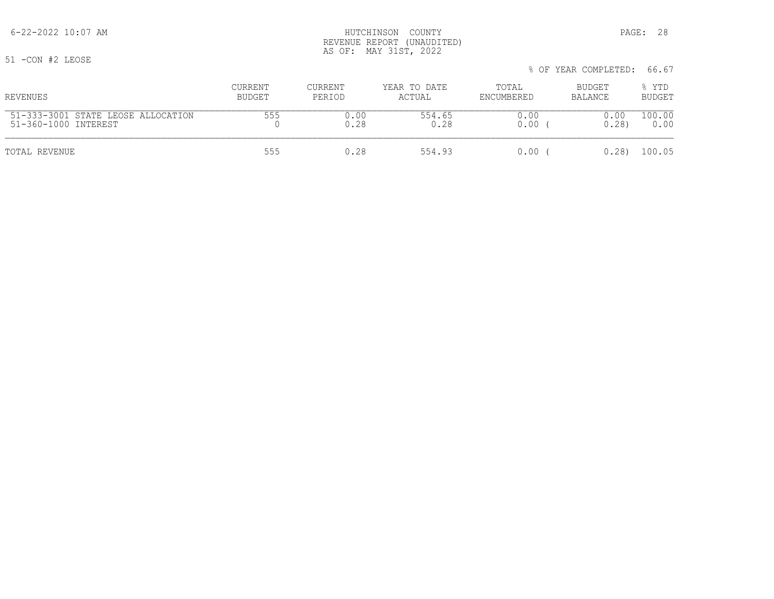51 -CON #2 LEOSE

|                                    |               |         |              |            | % OF YEAR COMPLETED: 66.67 |               |
|------------------------------------|---------------|---------|--------------|------------|----------------------------|---------------|
| REVENUES                           | CURRENT       | CURRENT | YEAR TO DATE | TOTAL      | BUDGET                     | % YTD         |
|                                    | <b>BUDGET</b> | PERIOD  | ACTUAL       | ENCUMBERED | BALANCE                    | <b>BUDGET</b> |
| 51-333-3001 STATE LEOSE ALLOCATION | 555           | 0.00    | 554.65       | 0.00       | 0.00                       | 100.00        |
| 51-360-1000 INTEREST               |               | 0.28    | 0.28         | 0.00       | 0.28                       | 0.00          |
| TOTAL REVENUE                      | 555           | 0.28    | 554.93       | 0.00       | 0.28                       | 100.05        |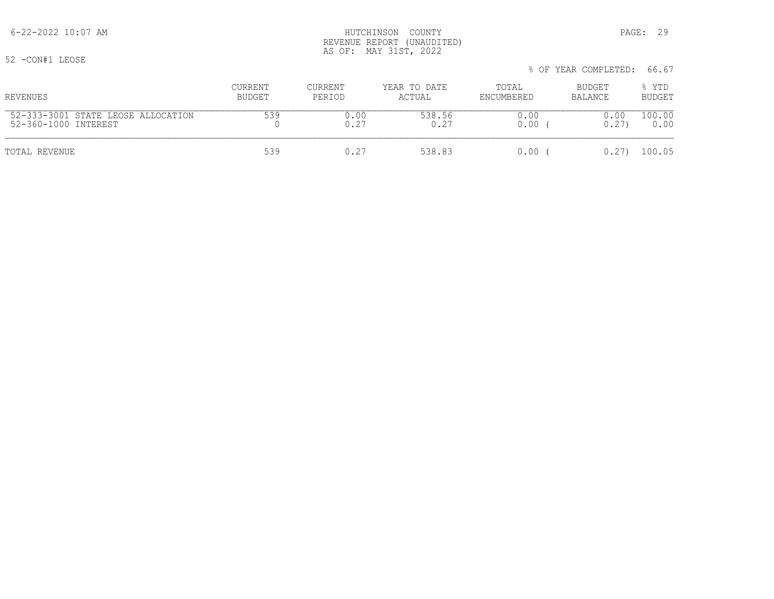% OF YEAR COMPLETED: 66.67 CURRENT CURRENT YEAR TO DATE TOTAL BUDGET % YTD REVENUES BUDGET PERIOD ACTUAL ENCUMBERED BALANCE BUDGET 52-333-3001 STATE LEOSE ALLOCATION 539 0.00 538.56 0.00 0.00 100.00 52-360-1000 INTEREST TOTAL REVENUE 539 0.27 538.83 0.00 ( 0.27) 100.05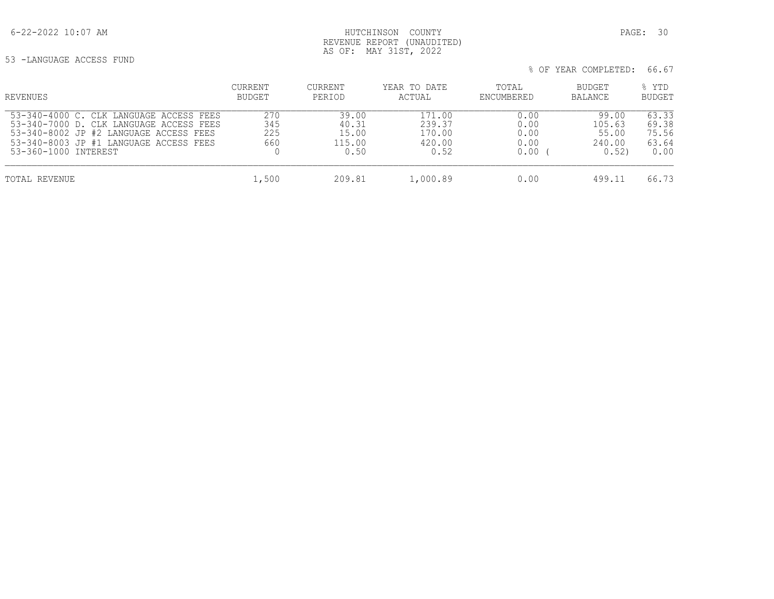53 -LANGUAGE ACCESS FUND

| REVENUES                                                                                                                                                                                       | CURRENT<br><b>BUDGET</b> | CURRENT<br>PERIOD                         | YEAR TO DATE<br>ACTUAL                       | TOTAL<br>ENCUMBERED                  | BUDGET<br><b>BALANCE</b>                   | % YTD<br><b>BUDGET</b>                   |
|------------------------------------------------------------------------------------------------------------------------------------------------------------------------------------------------|--------------------------|-------------------------------------------|----------------------------------------------|--------------------------------------|--------------------------------------------|------------------------------------------|
| 53-340-4000 C. CLK LANGUAGE ACCESS FEES<br>53-340-7000 D. CLK LANGUAGE ACCESS FEES<br>53-340-8002 JP #2 LANGUAGE ACCESS FEES<br>53-340-8003 JP #1 LANGUAGE ACCESS FEES<br>53-360-1000 INTEREST | 270<br>345<br>225<br>660 | 39.00<br>40.31<br>15.00<br>115.00<br>0.50 | 171.00<br>239.37<br>170.00<br>420.00<br>0.52 | 0.00<br>0.00<br>0.00<br>0.00<br>0.00 | 99.00<br>105.63<br>55.00<br>240.00<br>0.52 | 63.33<br>69.38<br>75.56<br>63.64<br>0.00 |
| TOTAL REVENUE                                                                                                                                                                                  | 1,500                    | 209.81                                    | 1,000.89                                     | 0.00                                 | 499.11                                     | 66.73                                    |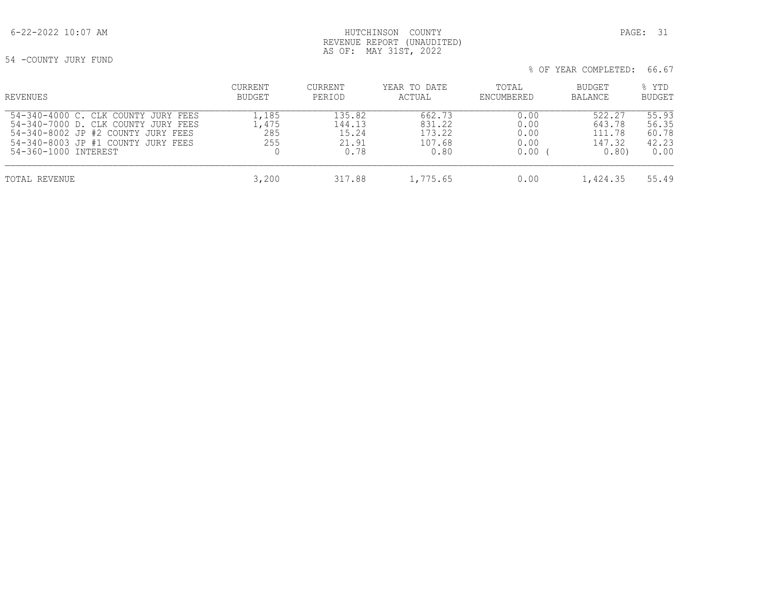# 6-22-2022 10:07 AM HUTCHINSON COUNTY PAGE: 31 REVENUE REPORT (UNAUDITED) AS OF: MAY 31ST, 2022

54 -COUNTY JURY FUND

| REVENUES                                                                                                                                                                          | CURRENT<br><b>BUDGET</b>     | CURRENT<br>PERIOD                          | YEAR TO DATE<br>ACTUAL                       | TOTAL<br>ENCUMBERED                  | BUDGET<br><b>BALANCE</b>                     | % YTD<br><b>BUDGET</b>                   |
|-----------------------------------------------------------------------------------------------------------------------------------------------------------------------------------|------------------------------|--------------------------------------------|----------------------------------------------|--------------------------------------|----------------------------------------------|------------------------------------------|
| 54-340-4000 C.<br>CLK COUNTY JURY FEES<br>54-340-7000 D. CLK COUNTY JURY FEES<br>54-340-8002 JP #2 COUNTY JURY FEES<br>54-340-8003 JP #1 COUNTY JURY FEES<br>54-360-1000 INTEREST | .,185<br>.,475<br>285<br>255 | 135.82<br>144.13<br>15.24<br>21.91<br>0.78 | 662.73<br>831.22<br>173.22<br>107.68<br>0.80 | 0.00<br>0.00<br>0.00<br>0.00<br>0.00 | 522.27<br>643.78<br>111.78<br>147.32<br>0.80 | 55.93<br>56.35<br>60.78<br>42.23<br>0.00 |
| TOTAL REVENUE                                                                                                                                                                     | 3,200                        | 317.88                                     | 1,775.65                                     | 0.00                                 | 1,424.35                                     | 55.49                                    |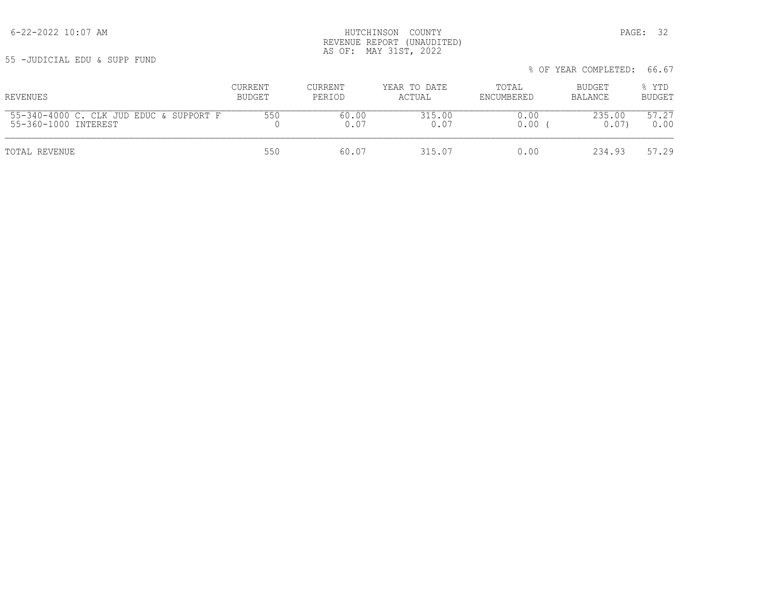55 -JUDICIAL EDU & SUPP FUND

| REVENUES                                | <b>CURRENT</b> | CURRENT | YEAR TO DATE | TOTAL      | BUDGET  | % YTD         |
|-----------------------------------------|----------------|---------|--------------|------------|---------|---------------|
|                                         | BUDGET         | PERIOD  | ACTUAL       | ENCUMBERED | BALANCE | <b>BUDGET</b> |
| 55-340-4000 C. CLK JUD EDUC & SUPPORT F | 550            | 60.00   | 315.00       | 0.00       | 235.00  | 57.27         |
| 55-360-1000 INTEREST                    |                | 0.07    | 0.07         | 0.00       | 0.07    | 0.00          |
| TOTAL REVENUE                           | 550            | 60.07   | 315.07       | 0.00       | 234.93  | 57.29         |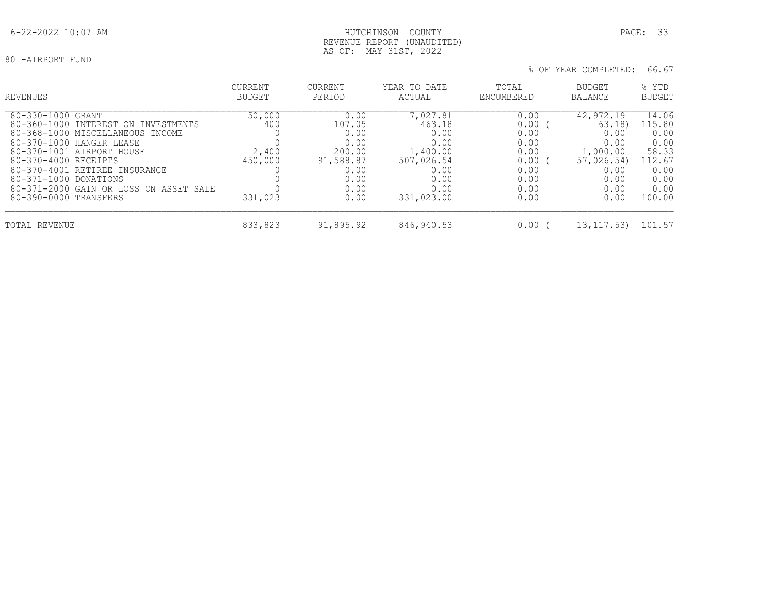# REVENUE REPORT (UNAUDITED) AS OF: MAY 31ST, 2022

| REVENUES                                                                                                                                                                                                                                                                                                   | <b>CURRENT</b><br><b>BUDGET</b>              | <b>CURRENT</b><br>PERIOD                                                              | YEAR TO DATE<br>ACTUAL                                                                             | TOTAL<br>ENCUMBERED                                                          | BUDGET<br><b>BALANCE</b>                                                                     | % YTD<br><b>BUDGET</b>                                                               |
|------------------------------------------------------------------------------------------------------------------------------------------------------------------------------------------------------------------------------------------------------------------------------------------------------------|----------------------------------------------|---------------------------------------------------------------------------------------|----------------------------------------------------------------------------------------------------|------------------------------------------------------------------------------|----------------------------------------------------------------------------------------------|--------------------------------------------------------------------------------------|
| 80-330-1000 GRANT<br>80-360-1000 INTEREST ON INVESTMENTS<br>80-368-1000 MISCELLANEOUS INCOME<br>80-370-1000 HANGER LEASE<br>80-370-1001 AIRPORT HOUSE<br>80-370-4000 RECEIPTS<br>80-370-4001 RETIREE INSURANCE<br>80-371-1000 DONATIONS<br>80-371-2000 GAIN OR LOSS ON ASSET SALE<br>80-390-0000 TRANSFERS | 50,000<br>400<br>2,400<br>450,000<br>331,023 | 0.00<br>107.05<br>0.00<br>0.00<br>200.00<br>91,588.87<br>0.00<br>0.00<br>0.00<br>0.00 | 7,027.81<br>463.18<br>0.00<br>0.00<br>1,400.00<br>507,026.54<br>0.00<br>0.00<br>0.00<br>331,023.00 | 0.00<br>0.00<br>0.00<br>0.00<br>0.00<br>0.00<br>0.00<br>0.00<br>0.00<br>0.00 | 42,972.19<br>63.18<br>0.00<br>0.00<br>1,000.00<br>57,026.54)<br>0.00<br>0.00<br>0.00<br>0.00 | 14.06<br>115.80<br>0.00<br>0.00<br>58.33<br>112.67<br>0.00<br>0.00<br>0.00<br>100.00 |
| TOTAL REVENUE                                                                                                                                                                                                                                                                                              | 833,823                                      | 91,895.92                                                                             | 846,940.53                                                                                         | 0.00                                                                         | 13, 117, 53)                                                                                 | 101.57                                                                               |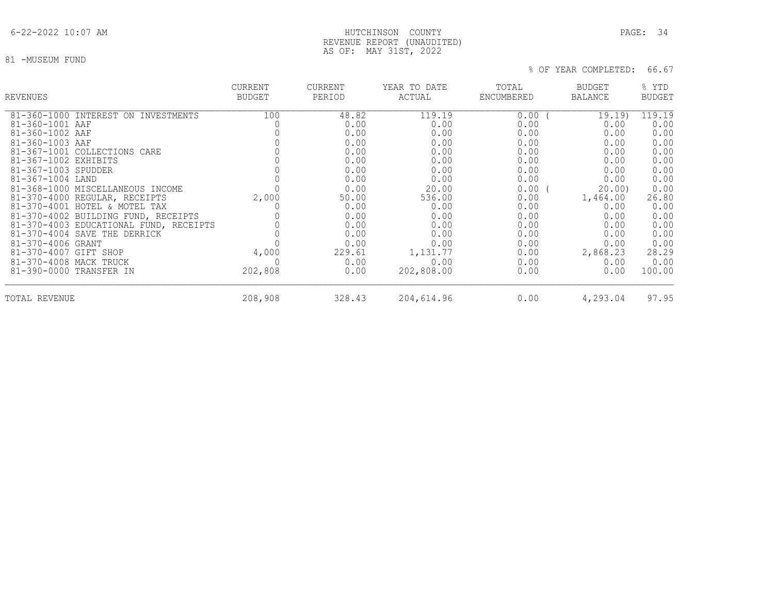# 6-22-2022 10:07 AM HUTCHINSON COUNTY PAGE: 34 REVENUE REPORT (UNAUDITED) AS OF: MAY 31ST, 2022

81 -MUSEUM FUND

| REVENUES                               | <b>CURRENT</b><br><b>BUDGET</b> | <b>CURRENT</b><br>PERIOD | YEAR TO DATE<br>ACTUAL | TOTAL<br>ENCUMBERED | <b>BUDGET</b><br><b>BALANCE</b> | % YTD<br><b>BUDGET</b> |
|----------------------------------------|---------------------------------|--------------------------|------------------------|---------------------|---------------------------------|------------------------|
| 81-360-1000 INTEREST ON INVESTMENTS    | 100                             | 48.82                    | 119.19                 | 0.00                | 19.19)                          | 119.19                 |
| 81-360-1001 AAF                        |                                 | 0.00                     | 0.00                   | 0.00                | 0.00                            | 0.00                   |
| 81-360-1002 AAF                        |                                 | 0.00                     | 0.00                   | 0.00                | 0.00                            | 0.00                   |
| 81-360-1003 AAF                        |                                 | 0.00                     | 0.00                   | 0.00                | 0.00                            | 0.00                   |
| 81-367-1001 COLLECTIONS CARE           |                                 | 0.00                     | 0.00                   | 0.00                | 0.00                            | 0.00                   |
| 81-367-1002 EXHIBITS                   |                                 | 0.00                     | 0.00                   | 0.00                | 0.00                            | 0.00                   |
| 81-367-1003 SPUDDER                    |                                 | 0.00                     | 0.00                   | 0.00                | 0.00                            | 0.00                   |
| 81-367-1004 LAND                       |                                 | 0.00                     | 0.00                   | 0.00                | 0.00                            | 0.00                   |
| 81-368-1000 MISCELLANEOUS INCOME       |                                 | 0.00                     | 20.00                  | 0.00(               | 20.00                           | 0.00                   |
| 81-370-4000 REGULAR, RECEIPTS          | 2,000                           | 50.00                    | 536.00                 | 0.00                | 1,464.00                        | 26.80                  |
| 81-370-4001 HOTEL & MOTEL TAX          |                                 | 0.00                     | 0.00                   | 0.00                | 0.00                            | 0.00                   |
| 81-370-4002 BUILDING FUND, RECEIPTS    |                                 | 0.00                     | 0.00                   | 0.00                | 0.00                            | 0.00                   |
| 81-370-4003 EDUCATIONAL FUND, RECEIPTS |                                 | 0.00                     | 0.00                   | 0.00                | 0.00                            | 0.00                   |
| 81-370-4004 SAVE THE DERRICK           |                                 | 0.00                     | 0.00                   | 0.00                | 0.00                            | 0.00                   |
| 81-370-4006 GRANT                      |                                 | 0.00                     | 0.00                   | 0.00                | 0.00                            | 0.00                   |
| 81-370-4007 GIFT SHOP                  | 4,000                           | 229.61                   | 1,131.77               | 0.00                | 2,868.23                        | 28.29                  |
| 81-370-4008 MACK TRUCK                 |                                 | 0.00                     | 0.00                   | 0.00                | 0.00                            | 0.00                   |
| 81-390-0000 TRANSFER IN                | 202,808                         | 0.00                     | 202,808.00             | 0.00                | 0.00                            | 100.00                 |
| TOTAL REVENUE                          | 208,908                         | 328.43                   | 204,614.96             | 0.00                | 4,293.04                        | 97.95                  |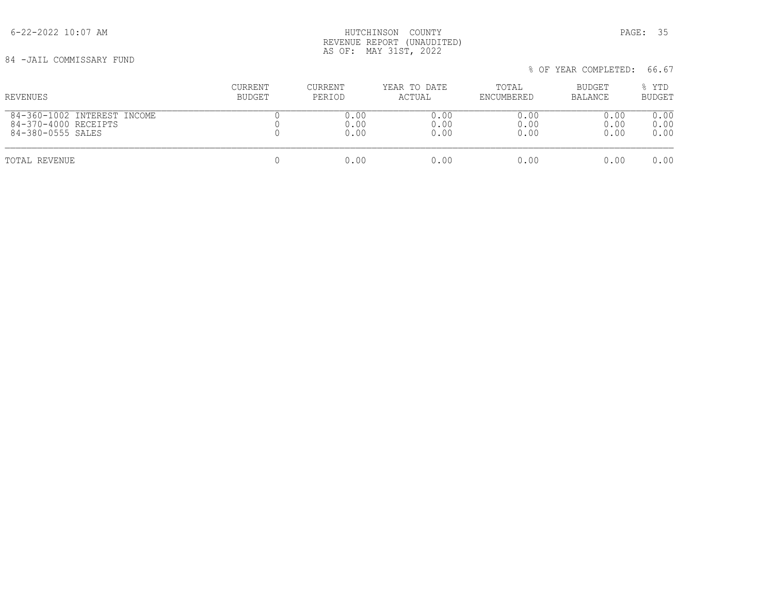6-22-2022 10:07 AM HUTCHINSON COUNTY PAGE: 35 REVENUE REPORT (UNAUDITED) AS OF: MAY 31ST, 2022

84 -JAIL COMMISSARY FUND

 % OF YEAR COMPLETED: 66.67 CURRENT CURRENT YEAR TO DATE TOTAL BUDGET % YTD REVENUES BUDGET PERIOD ACTUAL ENCUMBERED BALANCE BUDGET  $\begin{array}{cccccccccccccc} 84-360-1002 & \text{INTEREST INCOME} & & & & & 0 & & & 0.00 & & & & 0.00 & & & & 0.00 & & & & 0.00 & & & & 0.00 & & & & & 0.00 & & & & & 0.00 & & & & & 0.00 & & & & & 0.00 & & & & & & 0.00 & & & & & & 0.00 & & & & & & 0.00 & & & & & & 0.00 & & & & & & 0.00 & & & & & & 0.00 & & & & & & 0.00 & & & & & & 0.00 & & & & & & & 0$  84-370-4000 RECEIPTS 0 0.00 0.00 0.00 0.00 0.00 84-380-0555 SALES TOTAL REVENUE 0 0.00 0.00 0.00 0.00 0.00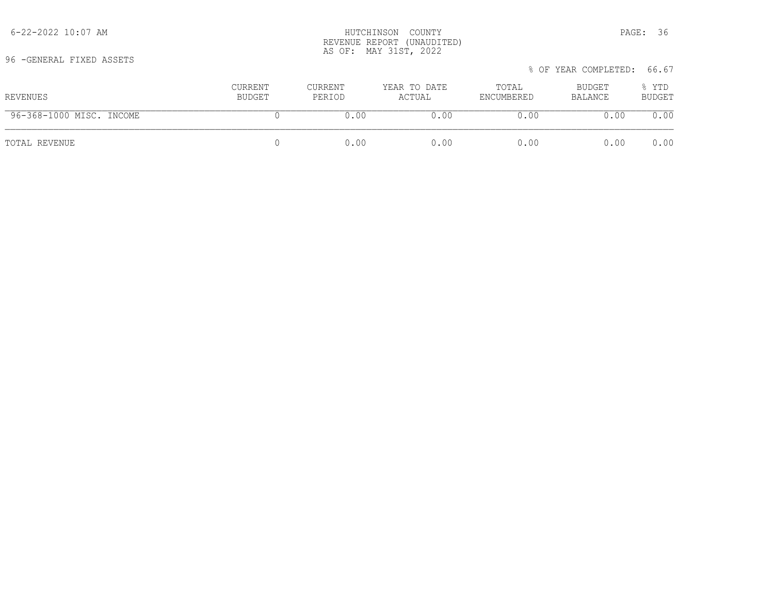96 -GENERAL FIXED ASSETS

| REVENUES                 | CURRENT<br>BUDGET | CURRENT<br>PERIOD | YEAR TO DATE<br>ACTUAL | TOTAL<br>ENCUMBERED | BUDGET<br>BALANCE | % YTD<br><b>BUDGET</b> |
|--------------------------|-------------------|-------------------|------------------------|---------------------|-------------------|------------------------|
| 96-368-1000 MISC. INCOME |                   | 0.00              | 0.00                   | 0.00                | 0.00              | 0.00                   |
| TOTAL REVENUE            |                   | 0.00              | 0.00                   | 0.00                | 0.00              | 0.00                   |